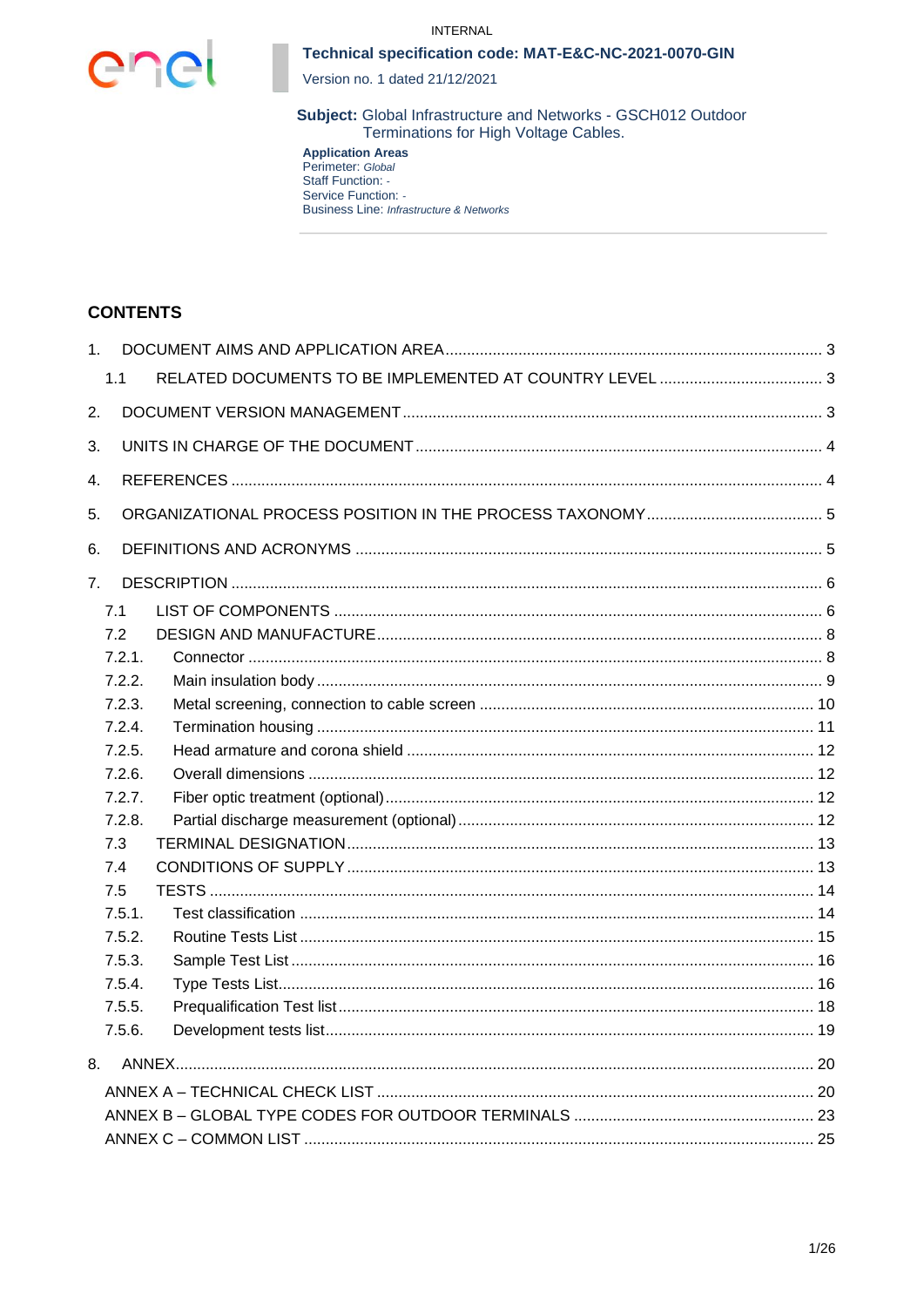



Version no. 1 dated 21/12/2021

Subject: Global Infrastructure and Networks - GSCH012 Outdoor Terminations for High Voltage Cables.

**Application Areas**<br>Perimeter: Global<br>Staff Function: -Service Function: -**Business Line: Infrastructure & Networks** 

## **CONTENTS**

| 1.             |        |  |  |  |  |  |  |
|----------------|--------|--|--|--|--|--|--|
|                | 1.1    |  |  |  |  |  |  |
| 2.             |        |  |  |  |  |  |  |
| 3.             |        |  |  |  |  |  |  |
| 4.             |        |  |  |  |  |  |  |
| 5.             |        |  |  |  |  |  |  |
| 6.             |        |  |  |  |  |  |  |
| 7 <sub>1</sub> |        |  |  |  |  |  |  |
|                | 7.1    |  |  |  |  |  |  |
|                | 7.2    |  |  |  |  |  |  |
|                | 7.2.1. |  |  |  |  |  |  |
|                | 7.2.2. |  |  |  |  |  |  |
|                | 7.2.3. |  |  |  |  |  |  |
|                | 7.2.4. |  |  |  |  |  |  |
|                | 7.2.5. |  |  |  |  |  |  |
|                | 7.2.6. |  |  |  |  |  |  |
|                | 7.2.7. |  |  |  |  |  |  |
|                | 7.2.8. |  |  |  |  |  |  |
|                | 7.3    |  |  |  |  |  |  |
|                | 7.4    |  |  |  |  |  |  |
|                | 7.5    |  |  |  |  |  |  |
|                | 7.5.1. |  |  |  |  |  |  |
|                | 7.5.2. |  |  |  |  |  |  |
|                | 7.5.3. |  |  |  |  |  |  |
|                | 7.5.4. |  |  |  |  |  |  |
|                | 7.5.5. |  |  |  |  |  |  |
|                | 7.5.6. |  |  |  |  |  |  |
| 8.             |        |  |  |  |  |  |  |
|                |        |  |  |  |  |  |  |
|                |        |  |  |  |  |  |  |
|                |        |  |  |  |  |  |  |
|                |        |  |  |  |  |  |  |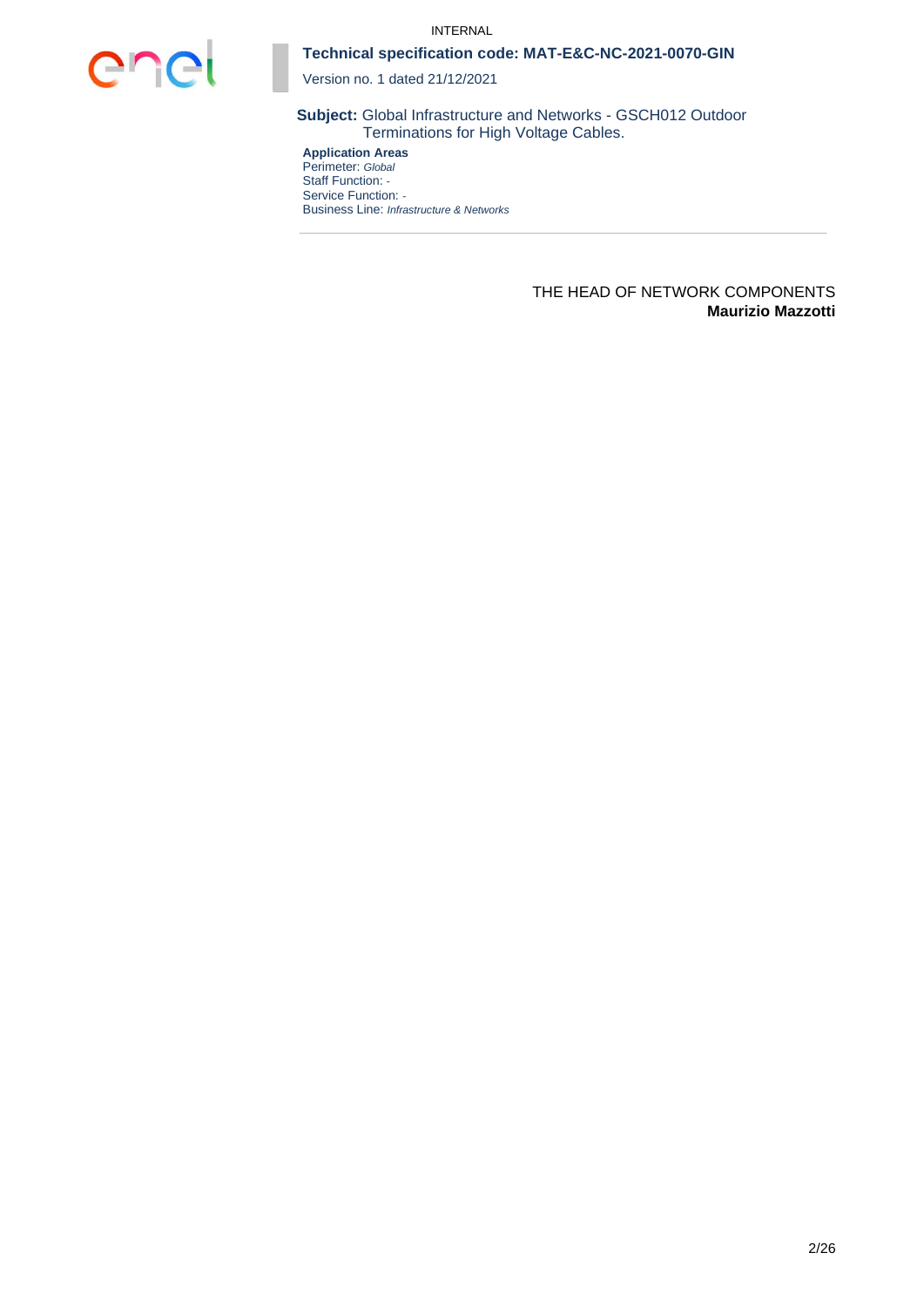

Version no. 1 dated 21/12/2021

**Subject:** Global Infrastructure and Networks - GSCH012 Outdoor Terminations for High Voltage Cables.

**Application Areas** Perimeter: *Global* Staff Function: *-* Service Function: *-* Business Line: *Infrastructure & Networks*

#### THE HEAD OF NETWORK COMPONENTS **Maurizio Mazzotti**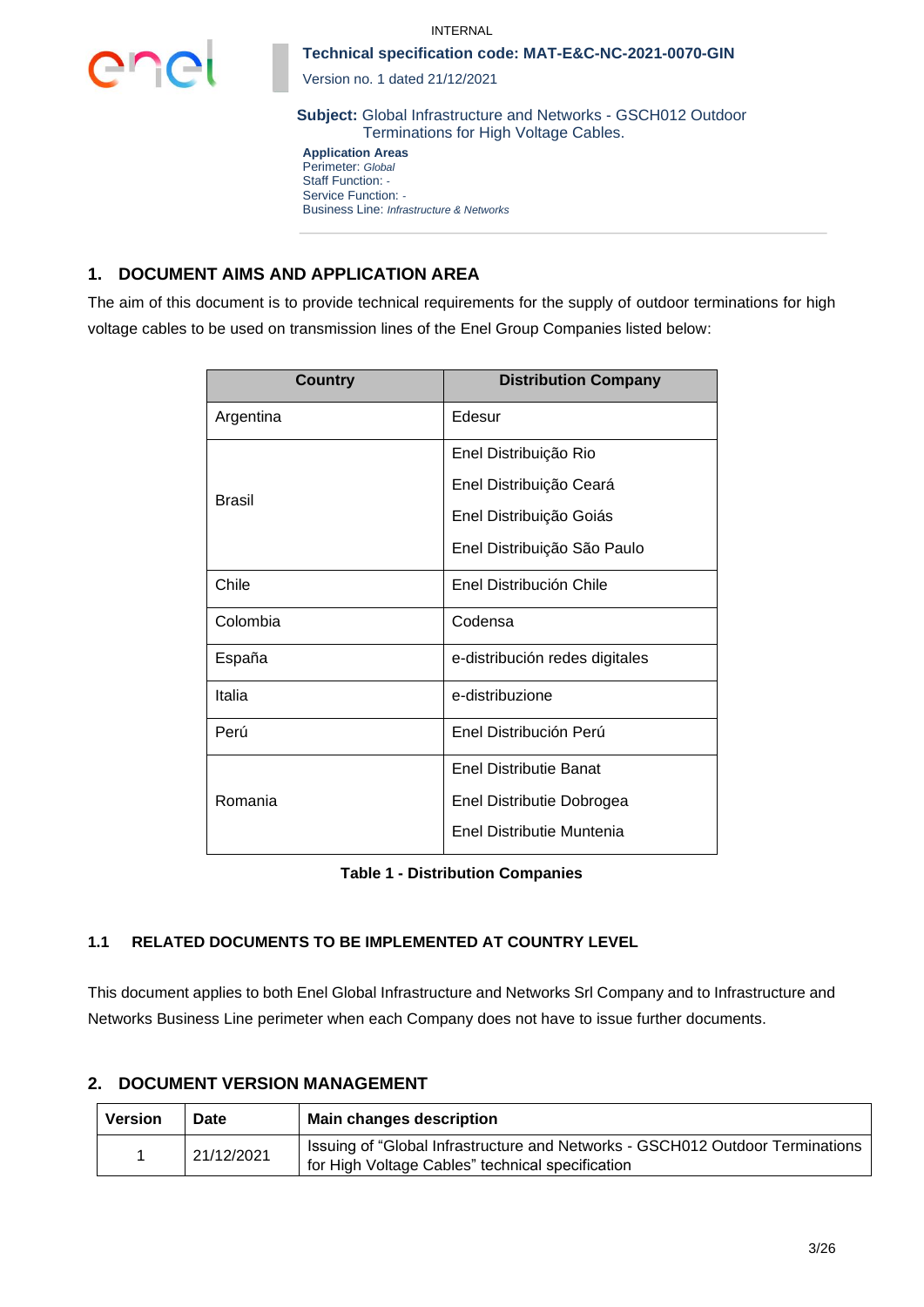



Version no. 1 dated 21/12/2021

**Subject:** Global Infrastructure and Networks - GSCH012 Outdoor Terminations for High Voltage Cables.

**Application Areas** Perimeter: *Global* Staff Function: *-* Service Function: *-* Business Line: *Infrastructure & Networks*

# **1. DOCUMENT AIMS AND APPLICATION AREA**

The aim of this document is to provide technical requirements for the supply of outdoor terminations for high voltage cables to be used on transmission lines of the Enel Group Companies listed below:

| Country   | <b>Distribution Company</b>    |  |  |  |  |  |
|-----------|--------------------------------|--|--|--|--|--|
| Argentina | Edesur                         |  |  |  |  |  |
|           | Enel Distribuição Rio          |  |  |  |  |  |
| Brasil    | Enel Distribuição Ceará        |  |  |  |  |  |
|           | Enel Distribuição Goiás        |  |  |  |  |  |
|           | Enel Distribuição São Paulo    |  |  |  |  |  |
| Chile     | Enel Distribución Chile        |  |  |  |  |  |
| Colombia  | Codensa                        |  |  |  |  |  |
| España    | e-distribución redes digitales |  |  |  |  |  |
| Italia    | e-distribuzione                |  |  |  |  |  |
| Perú      | Enel Distribución Perú         |  |  |  |  |  |
|           | <b>Enel Distributie Banat</b>  |  |  |  |  |  |
| Romania   | Enel Distributie Dobrogea      |  |  |  |  |  |
|           | Enel Distributie Muntenia      |  |  |  |  |  |

| <b>Table 1 - Distribution Companies</b> |  |
|-----------------------------------------|--|
|-----------------------------------------|--|

## **1.1 RELATED DOCUMENTS TO BE IMPLEMENTED AT COUNTRY LEVEL**

This document applies to both Enel Global Infrastructure and Networks Srl Company and to Infrastructure and Networks Business Line perimeter when each Company does not have to issue further documents.

## **2. DOCUMENT VERSION MANAGEMENT**

| <b>Version</b> | Date | <b>Main changes description</b>                                                                                                   |
|----------------|------|-----------------------------------------------------------------------------------------------------------------------------------|
| 21/12/2021     |      | Issuing of "Global Infrastructure and Networks - GSCH012 Outdoor Terminations<br>for High Voltage Cables" technical specification |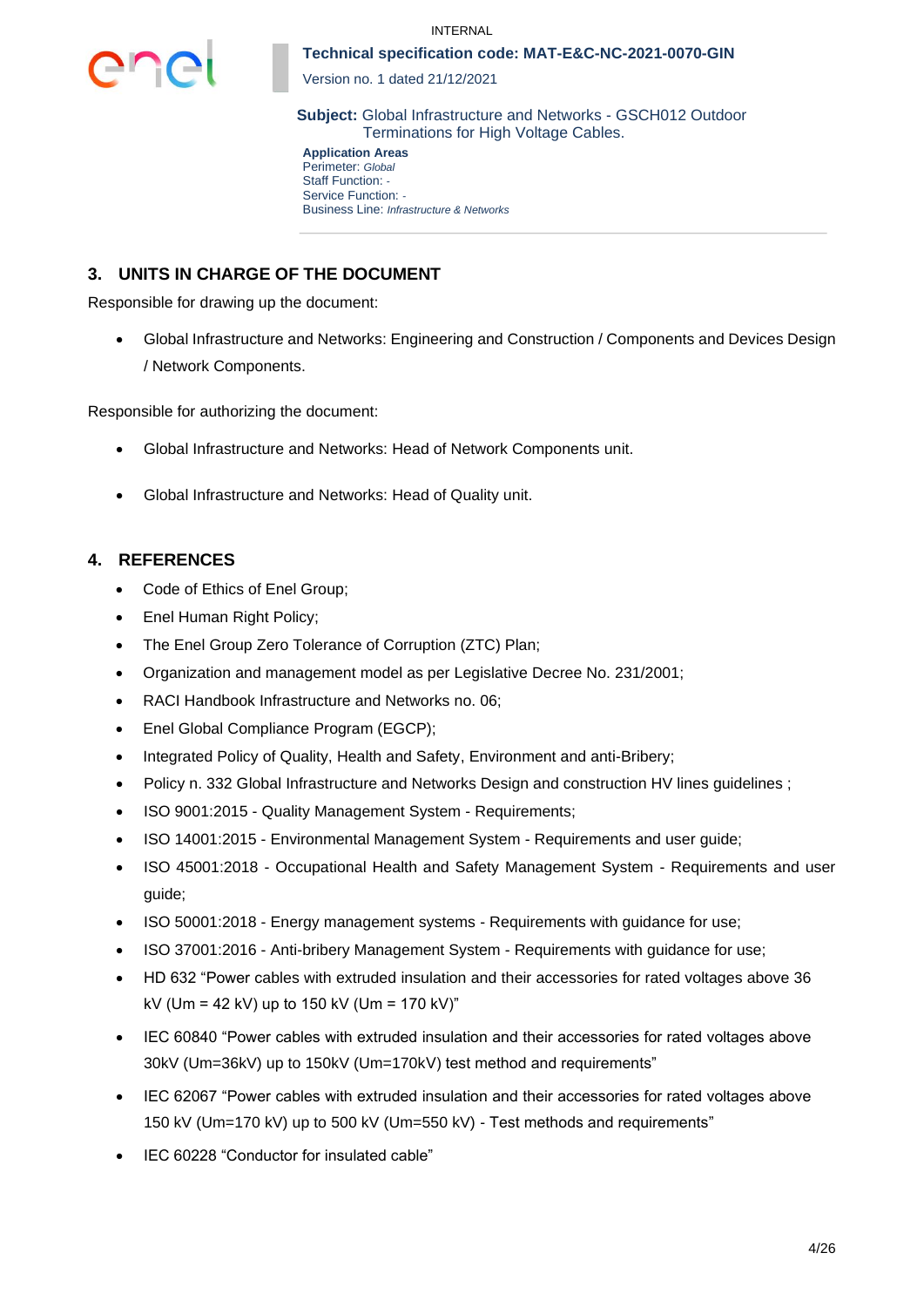



Version no. 1 dated 21/12/2021

**Subject:** Global Infrastructure and Networks - GSCH012 Outdoor Terminations for High Voltage Cables.

**Application Areas** Perimeter: *Global* Staff Function: *-* Service Function: *-* Business Line: *Infrastructure & Networks*

# **3. UNITS IN CHARGE OF THE DOCUMENT**

Responsible for drawing up the document:

• Global Infrastructure and Networks: Engineering and Construction / Components and Devices Design / Network Components.

Responsible for authorizing the document:

- Global Infrastructure and Networks: Head of Network Components unit.
- Global Infrastructure and Networks: Head of Quality unit.

## **4. REFERENCES**

- Code of Ethics of Enel Group;
- Enel Human Right Policy;
- The Enel Group Zero Tolerance of Corruption (ZTC) Plan;
- Organization and management model as per Legislative Decree No. 231/2001;
- RACI Handbook Infrastructure and Networks no. 06;
- Enel Global Compliance Program (EGCP):
- Integrated Policy of Quality, Health and Safety, Environment and anti-Bribery;
- Policy n. 332 Global Infrastructure and Networks Design and construction HV lines guidelines ;
- ISO 9001:2015 Quality Management System Requirements;
- ISO 14001:2015 Environmental Management System Requirements and user guide;
- ISO 45001:2018 Occupational Health and Safety Management System Requirements and user guide;
- ISO 50001:2018 Energy management systems Requirements with guidance for use;
- ISO 37001:2016 Anti-bribery Management System Requirements with guidance for use;
- HD 632 "Power cables with extruded insulation and their accessories for rated voltages above 36 kV (Um = 42 kV) up to 150 kV (Um = 170 kV)"
- IEC 60840 "Power cables with extruded insulation and their accessories for rated voltages above 30kV (Um=36kV) up to 150kV (Um=170kV) test method and requirements"
- IEC 62067 "Power cables with extruded insulation and their accessories for rated voltages above 150 kV (Um=170 kV) up to 500 kV (Um=550 kV) - Test methods and requirements"
- IEC 60228 "Conductor for insulated cable"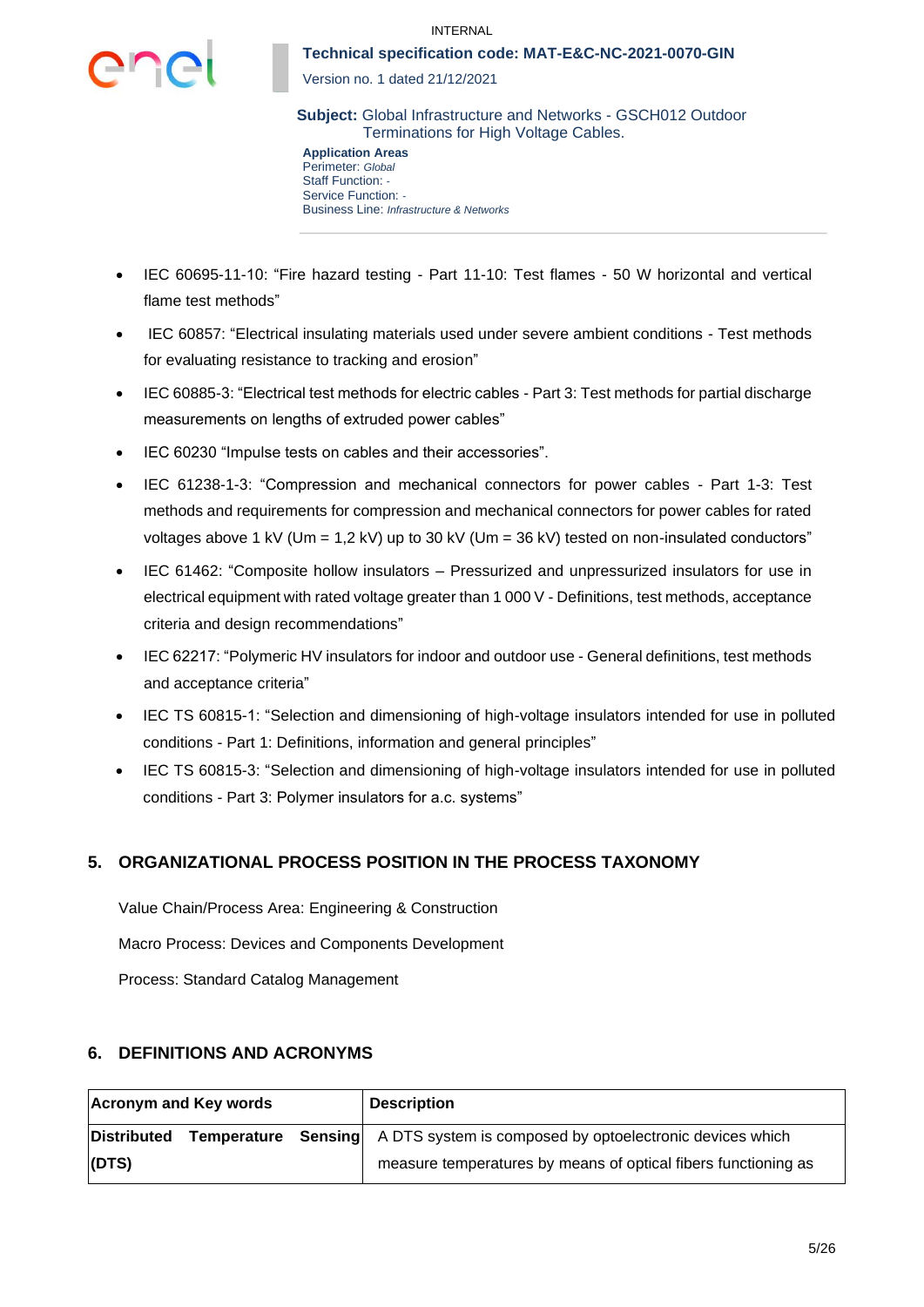

Version no. 1 dated 21/12/2021

**Subject:** Global Infrastructure and Networks - GSCH012 Outdoor Terminations for High Voltage Cables.

**Application Areas** Perimeter: *Global* Staff Function: *-* Service Function: *-* Business Line: *Infrastructure & Networks*

- IEC 60695-11-10: "Fire hazard testing Part 11-10: Test flames 50 W horizontal and vertical flame test methods"
- IEC 60857: "Electrical insulating materials used under severe ambient conditions Test methods for evaluating resistance to tracking and erosion"
- IEC 60885-3: "Electrical test methods for electric cables Part 3: Test methods for partial discharge measurements on lengths of extruded power cables"
- IEC 60230 "Impulse tests on cables and their accessories".
- IEC 61238-1-3: "Compression and mechanical connectors for power cables Part 1-3: Test methods and requirements for compression and mechanical connectors for power cables for rated voltages above 1 kV (Um = 1,2 kV) up to 30 kV (Um = 36 kV) tested on non-insulated conductors"
- IEC 61462: "Composite hollow insulators Pressurized and unpressurized insulators for use in electrical equipment with rated voltage greater than 1 000 V - Definitions, test methods, acceptance criteria and design recommendations"
- IEC 62217: "Polymeric HV insulators for indoor and outdoor use General definitions, test methods and acceptance criteria"
- IEC TS 60815-1: "Selection and dimensioning of high-voltage insulators intended for use in polluted conditions - Part 1: Definitions, information and general principles"
- IEC TS 60815-3: "Selection and dimensioning of high-voltage insulators intended for use in polluted conditions - Part 3: Polymer insulators for a.c. systems"

# **5. ORGANIZATIONAL PROCESS POSITION IN THE PROCESS TAXONOMY**

Value Chain/Process Area: Engineering & Construction Macro Process: Devices and Components Development Process: Standard Catalog Management

## **6. DEFINITIONS AND ACRONYMS**

| <b>Acronym and Key words</b> | <b>Description</b>                                                                  |
|------------------------------|-------------------------------------------------------------------------------------|
| Distributed                  | <b>Temperature</b> Sensing A DTS system is composed by optoelectronic devices which |
| (DTS)                        | measure temperatures by means of optical fibers functioning as                      |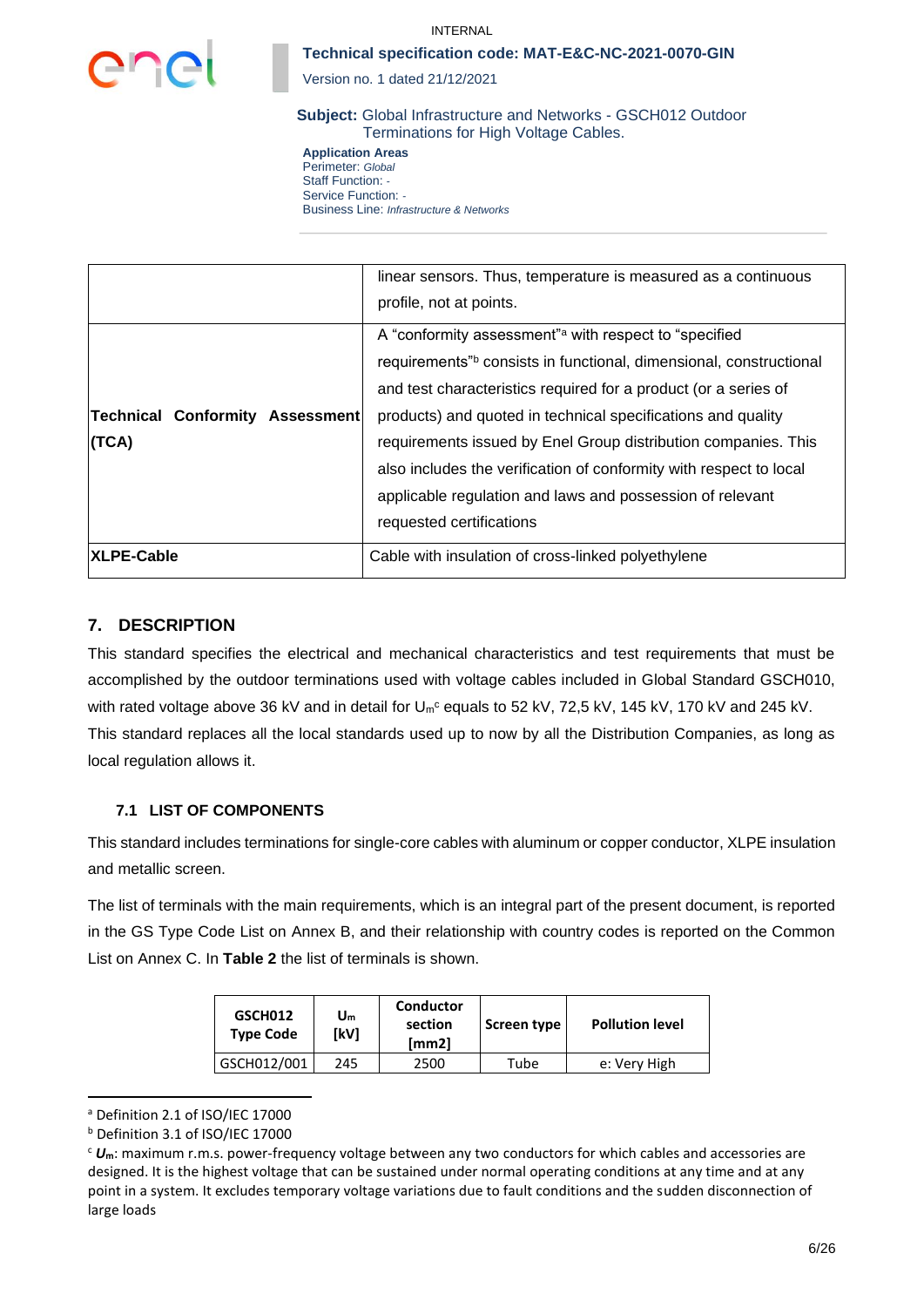

#### INTERNAL

### **Technical specification code: MAT-E&C-NC-2021-0070-GIN**

Version no. 1 dated 21/12/2021

**Subject:** Global Infrastructure and Networks - GSCH012 Outdoor Terminations for High Voltage Cables.

**Application Areas** Perimeter: *Global* Staff Function: *-* Service Function: *-* Business Line: *Infrastructure & Networks*

|                                          | linear sensors. Thus, temperature is measured as a continuous<br>profile, not at points.                                                                                                                                                                                                                                                                                                                                                                                                       |
|------------------------------------------|------------------------------------------------------------------------------------------------------------------------------------------------------------------------------------------------------------------------------------------------------------------------------------------------------------------------------------------------------------------------------------------------------------------------------------------------------------------------------------------------|
| Technical Conformity Assessment<br>(TCA) | A "conformity assessment" with respect to "specified"<br>requirements" consists in functional, dimensional, constructional<br>and test characteristics required for a product (or a series of<br>products) and quoted in technical specifications and quality<br>requirements issued by Enel Group distribution companies. This<br>also includes the verification of conformity with respect to local<br>applicable regulation and laws and possession of relevant<br>requested certifications |
| XLPE-Cable                               | Cable with insulation of cross-linked polyethylene                                                                                                                                                                                                                                                                                                                                                                                                                                             |

## **7. DESCRIPTION**

This standard specifies the electrical and mechanical characteristics and test requirements that must be accomplished by the outdoor terminations used with voltage cables included in Global Standard GSCH010, with rated voltage above 36 kV and in detail for U<sub>m</sub>c equals to 52 kV, 72,5 kV, 145 kV, 170 kV and 245 kV. This standard replaces all the local standards used up to now by all the Distribution Companies, as long as local regulation allows it.

## **7.1 LIST OF COMPONENTS**

This standard includes terminations for single-core cables with aluminum or copper conductor, XLPE insulation and metallic screen.

The list of terminals with the main requirements, which is an integral part of the present document, is reported in the GS Type Code List on Annex B, and their relationship with country codes is reported on the Common List on Annex C. In **[Table 2](#page-6-0)** the list of terminals is shown.

| GSCH012<br><b>Type Code</b> | Conductor<br>Սո<br>section<br>[kV]<br>[mm2] |      | Screen type | <b>Pollution level</b> |
|-----------------------------|---------------------------------------------|------|-------------|------------------------|
| GSCH012/001                 | 245                                         | 2500 | Tube        | e: Very High           |

<sup>a</sup> Definition 2.1 of ISO/IEC 17000

<sup>b</sup> Definition 3.1 of ISO/IEC 17000

<sup>c</sup> *U***m**: maximum r.m.s. power-frequency voltage between any two conductors for which cables and accessories are designed. It is the highest voltage that can be sustained under normal operating conditions at any time and at any point in a system. It excludes temporary voltage variations due to fault conditions and the sudden disconnection of large loads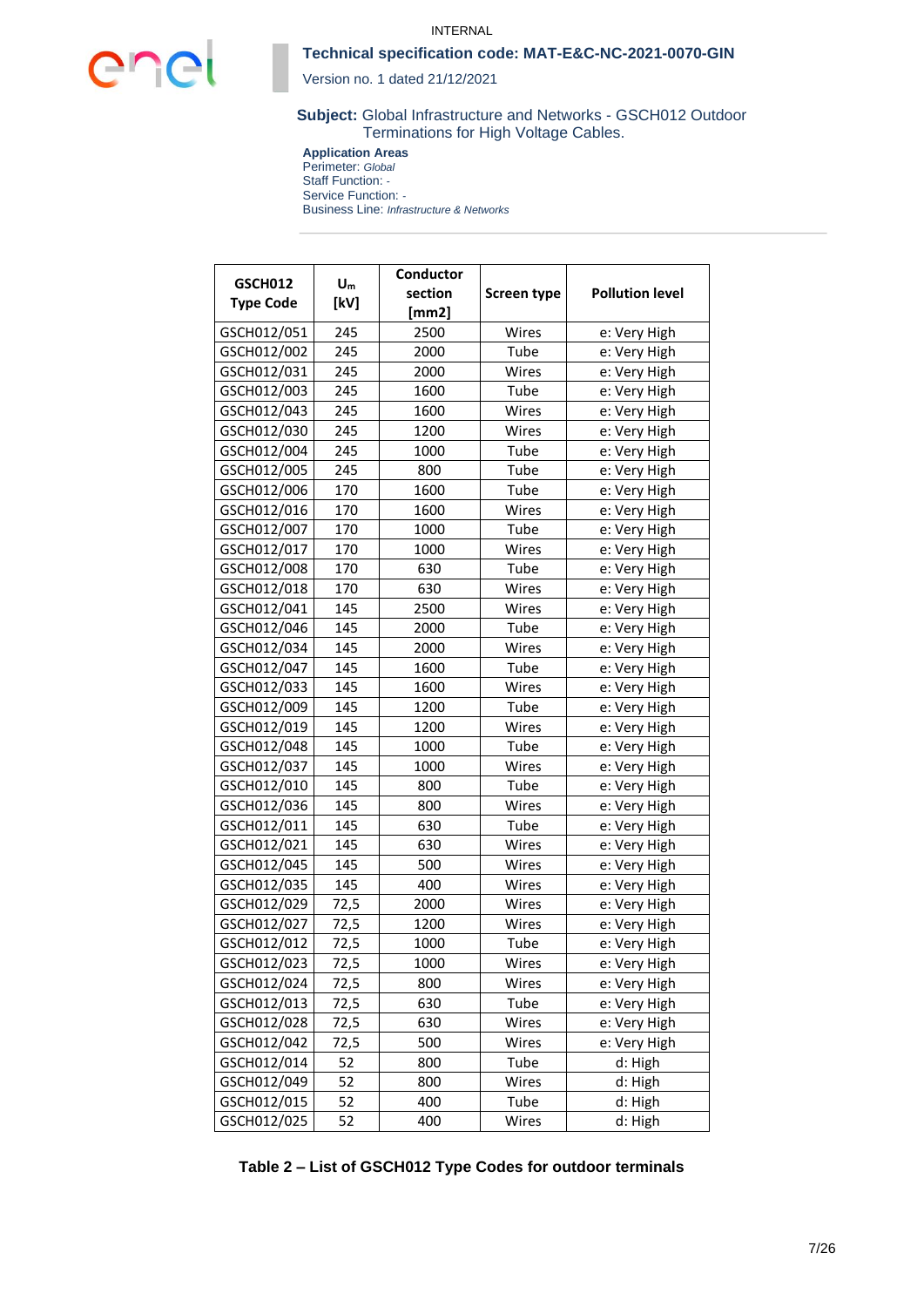

Version no. 1 dated 21/12/2021

**Subject:** Global Infrastructure and Networks - GSCH012 Outdoor Terminations for High Voltage Cables.

**Application Areas** Perimeter: *Global* Staff Function: *-*

Service Function: *-* Business Line: *Infrastructure & Networks*

| <b>GSCH012</b>   | $U_m$ | <b>Conductor</b> |                       |                        |  |  |
|------------------|-------|------------------|-----------------------|------------------------|--|--|
| <b>Type Code</b> | [kV]  | section          | <b>Screen type</b>    | <b>Pollution level</b> |  |  |
|                  |       | [mm2]            |                       |                        |  |  |
| GSCH012/051      | 245   | 2500             | Wires                 | e: Very High           |  |  |
| GSCH012/002      | 245   | 2000             | Tube                  | e: Very High           |  |  |
| GSCH012/031      | 245   | 2000             | Wires                 | e: Very High           |  |  |
| GSCH012/003      | 245   | 1600             | Tube                  | e: Very High           |  |  |
| GSCH012/043      | 245   | 1600             | Wires                 | e: Very High           |  |  |
| GSCH012/030      | 245   | 1200             | Wires                 | e: Very High           |  |  |
| GSCH012/004      | 245   | 1000             | Tube                  | e: Very High           |  |  |
| GSCH012/005      | 245   | 800              | Tube                  | e: Very High           |  |  |
| GSCH012/006      | 170   | 1600             | Tube                  | e: Very High           |  |  |
| GSCH012/016      | 170   | 1600             | Wires                 | e: Very High           |  |  |
| GSCH012/007      | 170   | 1000             | Tube                  | e: Very High           |  |  |
| GSCH012/017      | 170   | 1000             | Wires                 | e: Very High           |  |  |
| GSCH012/008      | 170   | 630              | Tube                  | e: Very High           |  |  |
| GSCH012/018      | 170   | 630              | Wires                 | e: Very High           |  |  |
| GSCH012/041      | 145   | 2500             | Wires                 | e: Very High           |  |  |
| GSCH012/046      | 145   | 2000             | Tube                  | e: Very High           |  |  |
| GSCH012/034      | 145   | 2000             | Wires                 | e: Very High           |  |  |
| GSCH012/047      | 145   | 1600             | Tube                  | e: Very High           |  |  |
| GSCH012/033      | 145   | 1600<br>Wires    |                       | e: Very High           |  |  |
| GSCH012/009      | 145   | 1200<br>Tube     |                       | e: Very High           |  |  |
| GSCH012/019      | 145   | 1200             | Wires                 | e: Very High           |  |  |
| GSCH012/048      | 145   | 1000             | Tube                  | e: Very High           |  |  |
| GSCH012/037      | 145   | 1000             | Wires                 | e: Very High           |  |  |
| GSCH012/010      | 145   | 800              | Tube                  | e: Very High           |  |  |
| GSCH012/036      | 145   | 800              | Wires<br>e: Very High |                        |  |  |
| GSCH012/011      | 145   | 630              | Tube                  | e: Very High           |  |  |
| GSCH012/021      | 145   | 630              | Wires                 | e: Very High           |  |  |
| GSCH012/045      | 145   | 500              | Wires                 | e: Very High           |  |  |
| GSCH012/035      | 145   | 400              | Wires                 | e: Very High           |  |  |
| GSCH012/029      | 72,5  | 2000             | Wires                 | e: Very High           |  |  |
| GSCH012/027      | 72,5  | 1200             | Wires                 | e: Very High           |  |  |
| GSCH012/012      | 72,5  | 1000             | Tube                  | e: Very High           |  |  |
| GSCH012/023      | 72,5  | 1000             | Wires                 | e: Very High           |  |  |
| GSCH012/024      | 72,5  | 800              | Wires                 | e: Very High           |  |  |
| GSCH012/013      | 72,5  | 630              | Tube                  | e: Very High           |  |  |
| GSCH012/028      | 72,5  | 630              | Wires                 | e: Very High           |  |  |
| GSCH012/042      | 72,5  | 500              | Wires                 | e: Very High           |  |  |
| GSCH012/014      | 52    | 800              | Tube                  | d: High                |  |  |
| GSCH012/049      | 52    | 800              | Wires                 | d: High                |  |  |
| GSCH012/015      | 52    | 400              | Tube                  | d: High                |  |  |
| GSCH012/025      | 52    | 400              | Wires                 | d: High                |  |  |

<span id="page-6-0"></span>**Table 2 – List of GSCH012 Type Codes for outdoor terminals**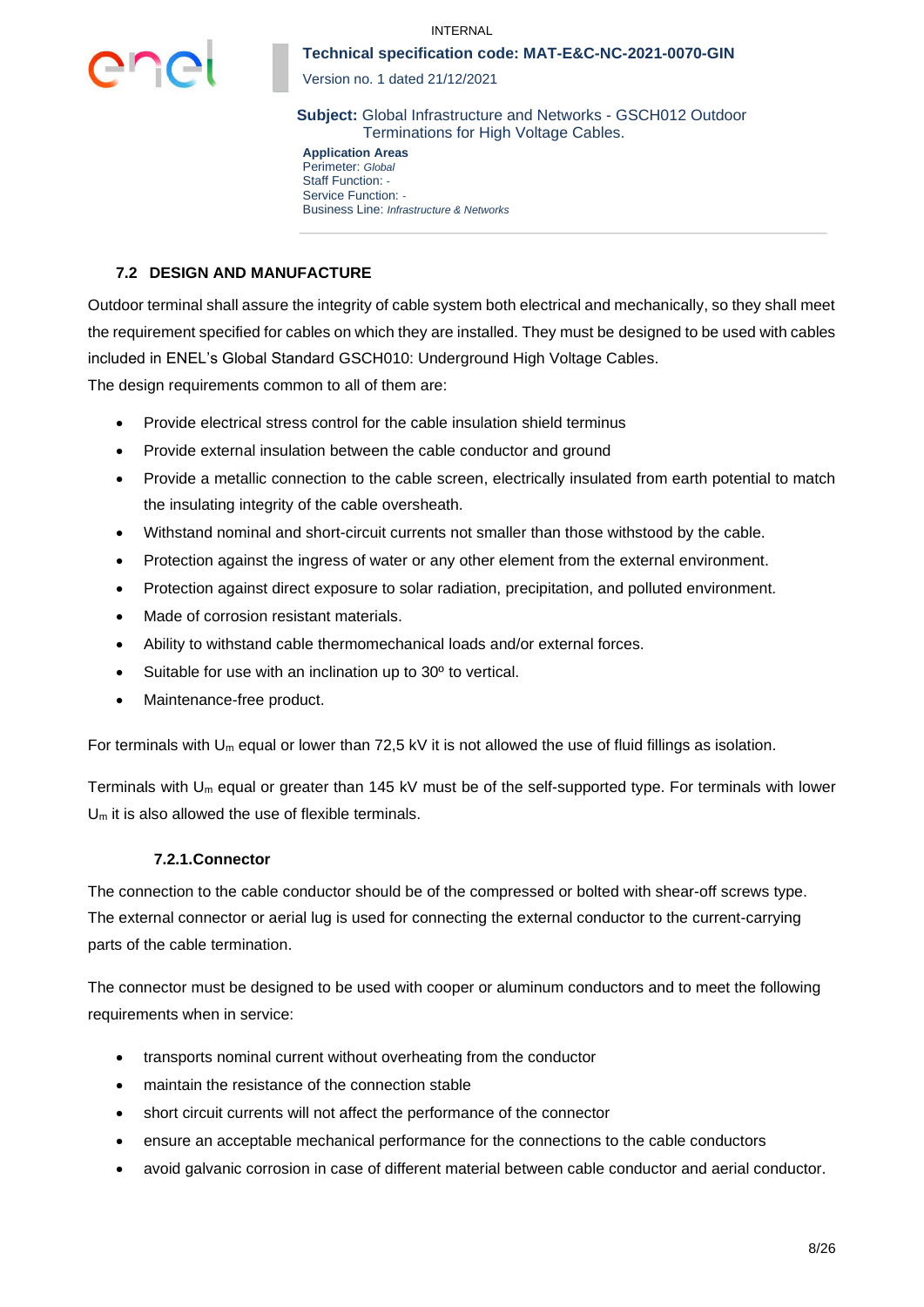

Version no. 1 dated 21/12/2021

**Subject:** Global Infrastructure and Networks - GSCH012 Outdoor Terminations for High Voltage Cables.

**Application Areas** Perimeter: *Global* Staff Function: *-* Service Function: *-* Business Line: *Infrastructure & Networks*

## **7.2 DESIGN AND MANUFACTURE**

Outdoor terminal shall assure the integrity of cable system both electrical and mechanically, so they shall meet the requirement specified for cables on which they are installed. They must be designed to be used with cables included in ENEL's Global Standard GSCH010: Underground High Voltage Cables.

The design requirements common to all of them are:

- Provide electrical stress control for the cable insulation shield terminus
- Provide external insulation between the cable conductor and ground
- Provide a metallic connection to the cable screen, electrically insulated from earth potential to match the insulating integrity of the cable oversheath.
- Withstand nominal and short-circuit currents not smaller than those withstood by the cable.
- Protection against the ingress of water or any other element from the external environment.
- Protection against direct exposure to solar radiation, precipitation, and polluted environment.
- Made of corrosion resistant materials.
- Ability to withstand cable thermomechanical loads and/or external forces.
- Suitable for use with an inclination up to 30º to vertical.
- Maintenance-free product.

For terminals with U<sub>m</sub> equal or lower than 72,5 kV it is not allowed the use of fluid fillings as isolation.

Terminals with  $U_m$  equal or greater than 145 kV must be of the self-supported type. For terminals with lower  $U_m$  it is also allowed the use of flexible terminals.

### **7.2.1.Connector**

The connection to the cable conductor should be of the compressed or bolted with shear-off screws type. The external connector or aerial lug is used for connecting the external conductor to the current-carrying parts of the cable termination.

The connector must be designed to be used with cooper or aluminum conductors and to meet the following requirements when in service:

- transports nominal current without overheating from the conductor
- maintain the resistance of the connection stable
- short circuit currents will not affect the performance of the connector
- ensure an acceptable mechanical performance for the connections to the cable conductors
- avoid galvanic corrosion in case of different material between cable conductor and aerial conductor.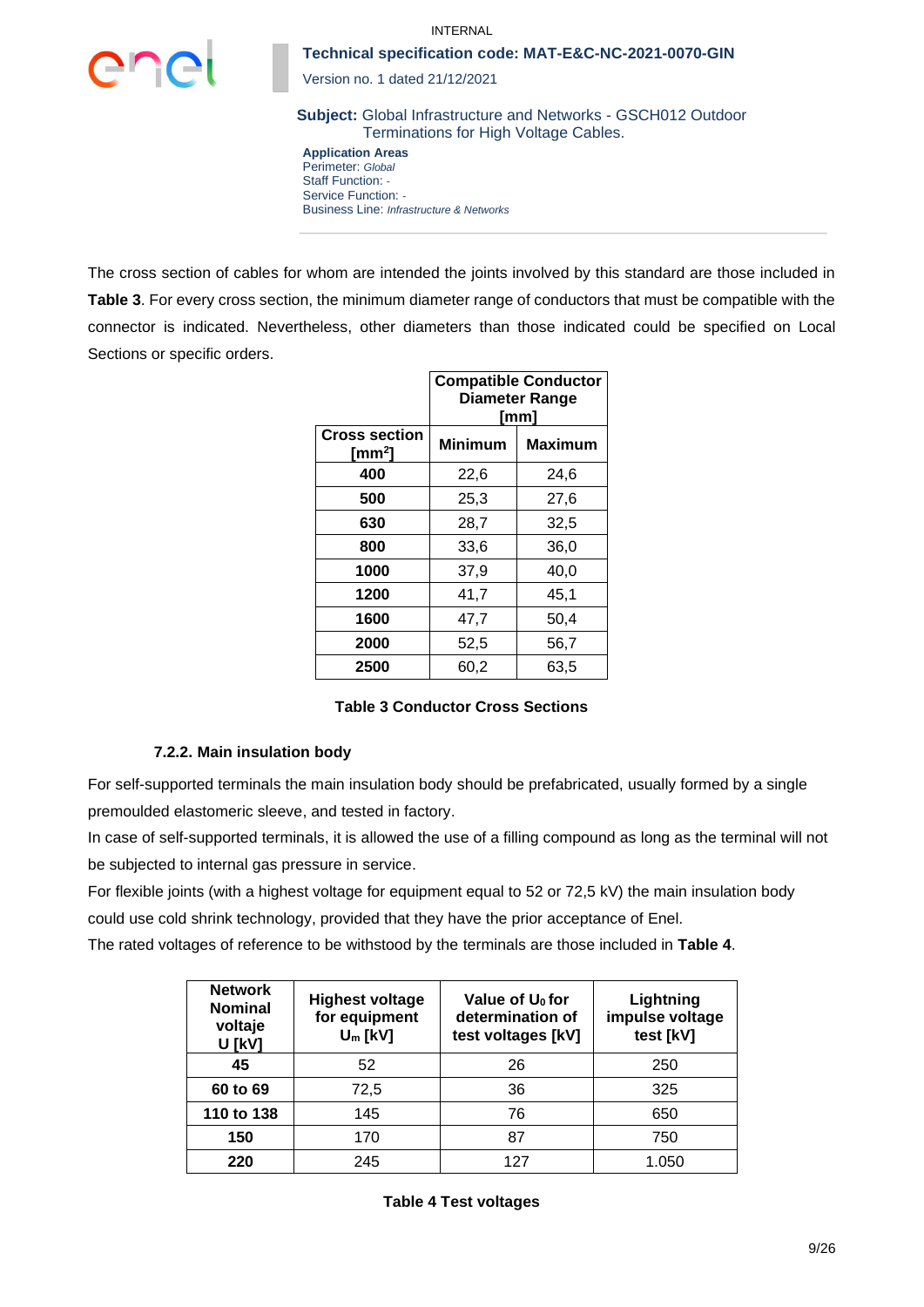

Version no. 1 dated 21/12/2021

**Subject:** Global Infrastructure and Networks - GSCH012 Outdoor Terminations for High Voltage Cables.

**Application Areas** Perimeter: *Global* Staff Function: *-* Service Function: *-* Business Line: *Infrastructure & Networks*

The cross section of cables for whom are intended the joints involved by this standard are those included in **[Table 3](#page-8-0)**. For every cross section, the minimum diameter range of conductors that must be compatible with the connector is indicated. Nevertheless, other diameters than those indicated could be specified on Local Sections or specific orders.

|                                            | <b>Compatible Conductor</b><br>Diameter Range<br>[mm] |                |  |  |  |  |
|--------------------------------------------|-------------------------------------------------------|----------------|--|--|--|--|
| <b>Cross section</b><br>[mm <sup>2</sup> ] | <b>Minimum</b>                                        | <b>Maximum</b> |  |  |  |  |
| 400                                        | 22,6                                                  | 24,6           |  |  |  |  |
| 500                                        | 25,3                                                  | 27,6           |  |  |  |  |
| 630                                        | 28,7                                                  | 32,5           |  |  |  |  |
| 800                                        | 33,6                                                  | 36,0           |  |  |  |  |
| 1000                                       | 37,9                                                  | 40,0           |  |  |  |  |
| 1200                                       | 41,7                                                  | 45,1           |  |  |  |  |
| 1600                                       | 47,7                                                  | 50,4           |  |  |  |  |
| 2000                                       | 52,5                                                  | 56,7           |  |  |  |  |
| 2500                                       | 60,2                                                  | 63,5           |  |  |  |  |

### **Table 3 Conductor Cross Sections**

#### <span id="page-8-0"></span>**7.2.2. Main insulation body**

For self-supported terminals the main insulation body should be prefabricated, usually formed by a single premoulded elastomeric sleeve, and tested in factory.

In case of self-supported terminals, it is allowed the use of a filling compound as long as the terminal will not be subjected to internal gas pressure in service.

For flexible joints (with a highest voltage for equipment equal to 52 or 72,5 kV) the main insulation body could use cold shrink technology, provided that they have the prior acceptance of Enel.

The rated voltages of reference to be withstood by the terminals are those included in **[Table 4](#page-8-1)**.

<span id="page-8-1"></span>

| <b>Network</b><br><b>Nominal</b><br>voltaje<br><b>U [kV]</b> | <b>Highest voltage</b><br>for equipment<br>$U_m$ [kV] | Value of U <sub>0</sub> for<br>determination of<br>test voltages [kV] | Lightning<br>impulse voltage<br>test [kV] |
|--------------------------------------------------------------|-------------------------------------------------------|-----------------------------------------------------------------------|-------------------------------------------|
| 45                                                           | 52                                                    | 26                                                                    | 250                                       |
| 60 to 69                                                     | 72,5                                                  | 36                                                                    | 325                                       |
| 110 to 138                                                   | 145                                                   | 76                                                                    | 650                                       |
| 150                                                          | 170                                                   | 87                                                                    | 750                                       |
| 220                                                          | 245                                                   | 127                                                                   | 1.050                                     |

**Table 4 Test voltages**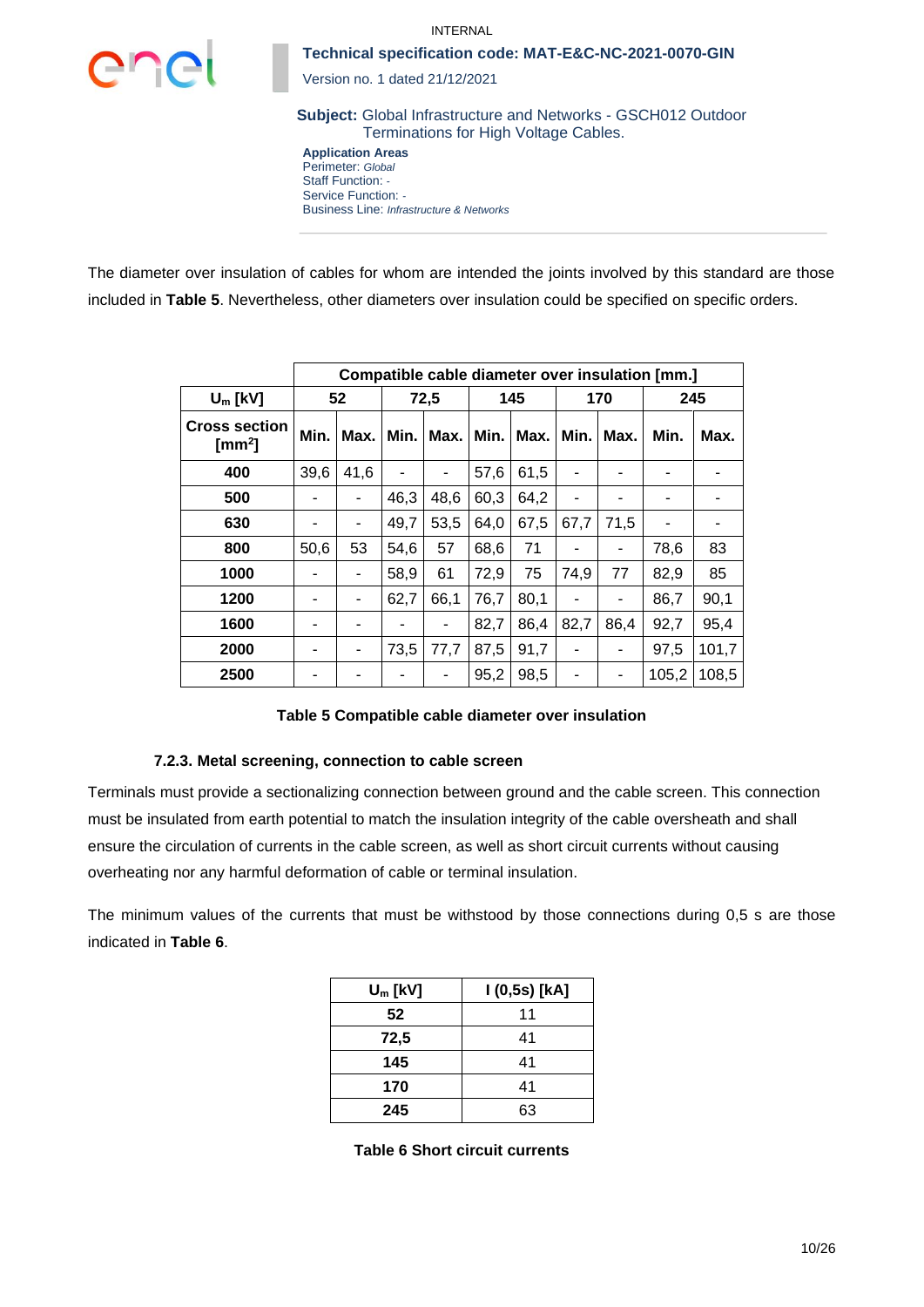

Version no. 1 dated 21/12/2021

**Subject:** Global Infrastructure and Networks - GSCH012 Outdoor Terminations for High Voltage Cables.

**Application Areas** Perimeter: *Global* Staff Function: *-* Service Function: *-* Business Line: *Infrastructure & Networks*

The diameter over insulation of cables for whom are intended the joints involved by this standard are those included in **[Table 5](#page-9-0)**. Nevertheless, other diameters over insulation could be specified on specific orders.

|                                            |      |      |      |      |      | Compatible cable diameter over insulation [mm.] |      |      |       |       |
|--------------------------------------------|------|------|------|------|------|-------------------------------------------------|------|------|-------|-------|
| $U_m$ [kV]                                 |      | 52   |      | 72,5 |      | 145                                             |      | 170  |       | 245   |
| <b>Cross section</b><br>[mm <sup>2</sup> ] | Min. | Max. | Min. | Max. | Min. | Max.                                            | Min. | Max. | Min.  | Max.  |
| 400                                        | 39,6 | 41,6 |      |      | 57,6 | 61,5                                            |      |      |       |       |
| 500                                        |      |      | 46,3 | 48,6 | 60,3 | 64,2                                            |      |      |       |       |
| 630                                        |      |      | 49,7 | 53,5 | 64,0 | 67,5                                            | 67,7 | 71,5 |       |       |
| 800                                        | 50,6 | 53   | 54,6 | 57   | 68,6 | 71                                              |      |      | 78,6  | 83    |
| 1000                                       |      |      | 58,9 | 61   | 72,9 | 75                                              | 74,9 | 77   | 82,9  | 85    |
| 1200                                       |      |      | 62,7 | 66,1 | 76,7 | 80,1                                            |      |      | 86,7  | 90,1  |
| 1600                                       |      |      |      |      | 82,7 | 86,4                                            | 82,7 | 86,4 | 92,7  | 95,4  |
| 2000                                       |      |      | 73,5 | 77,7 | 87,5 | 91,7                                            | ٠    | ۰    | 97,5  | 101,7 |
| 2500                                       |      |      |      | ۰    | 95,2 | 98,5                                            |      | -    | 105,2 | 108,5 |

**Table 5 Compatible cable diameter over insulation** 

### <span id="page-9-0"></span>**7.2.3. Metal screening, connection to cable screen**

Terminals must provide a sectionalizing connection between ground and the cable screen. This connection must be insulated from earth potential to match the insulation integrity of the cable oversheath and shall ensure the circulation of currents in the cable screen, as well as short circuit currents without causing overheating nor any harmful deformation of cable or terminal insulation.

<span id="page-9-1"></span>The minimum values of the currents that must be withstood by those connections during 0,5 s are those indicated in **[Table 6](#page-9-1)**.

| $U_m$ [kV] | I (0,5s) [kA] |
|------------|---------------|
| 52         | 11            |
| 72,5       | 41            |
| 145        | 41            |
| 170        | 41            |
| 245        | 63            |

**Table 6 Short circuit currents**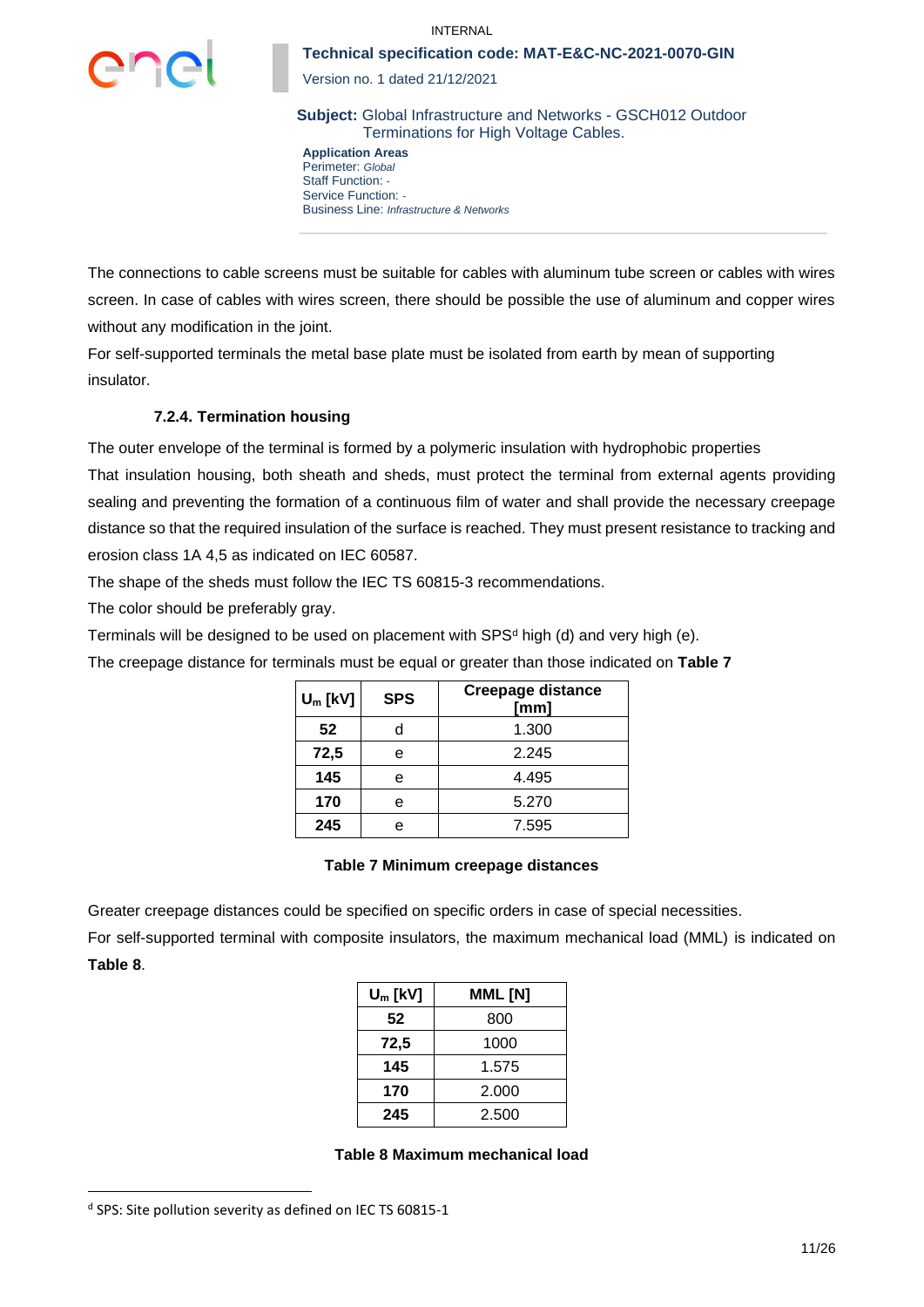

Version no. 1 dated 21/12/2021

**Subject:** Global Infrastructure and Networks - GSCH012 Outdoor Terminations for High Voltage Cables.

**Application Areas** Perimeter: *Global* Staff Function: *-* Service Function: *-* Business Line: *Infrastructure & Networks*

The connections to cable screens must be suitable for cables with aluminum tube screen or cables with wires screen. In case of cables with wires screen, there should be possible the use of aluminum and copper wires without any modification in the joint.

For self-supported terminals the metal base plate must be isolated from earth by mean of supporting insulator.

## **7.2.4. Termination housing**

The outer envelope of the terminal is formed by a polymeric insulation with hydrophobic properties

That insulation housing, both sheath and sheds, must protect the terminal from external agents providing sealing and preventing the formation of a continuous film of water and shall provide the necessary creepage distance so that the required insulation of the surface is reached. They must present resistance to tracking and erosion class 1A 4,5 as indicated on IEC 60587.

The shape of the sheds must follow the IEC TS 60815-3 recommendations.

The color should be preferably gray.

Terminals will be designed to be used on placement with SPS $d$  high (d) and very high (e).

The creepage distance for terminals must be equal or greater than those indicated on **[Table 7](#page-10-0)**

| $U_m$ [kV] | <b>SPS</b> | <b>Creepage distance</b><br>[mm] |
|------------|------------|----------------------------------|
| 52         |            | 1.300                            |
| 72,5       |            | 2.245                            |
| 145        | e          | 4.495                            |
| 170        |            | 5.270                            |
| 245        |            | 7.595                            |

### **Table 7 Minimum creepage distances**

<span id="page-10-0"></span>Greater creepage distances could be specified on specific orders in case of special necessities.

For self-supported terminal with composite insulators, the maximum mechanical load (MML) is indicated on **[Table 8](#page-10-1)**.

| $U_m$ [kV] | MML [N] |  |  |  |
|------------|---------|--|--|--|
| 52         | 800     |  |  |  |
| 72,5       | 1000    |  |  |  |
| 145        | 1.575   |  |  |  |
| 170        | 2.000   |  |  |  |
| 245        | 2.500   |  |  |  |

#### **Table 8 Maximum mechanical load**

<span id="page-10-1"></span>d SPS: Site pollution severity as defined on IEC TS 60815-1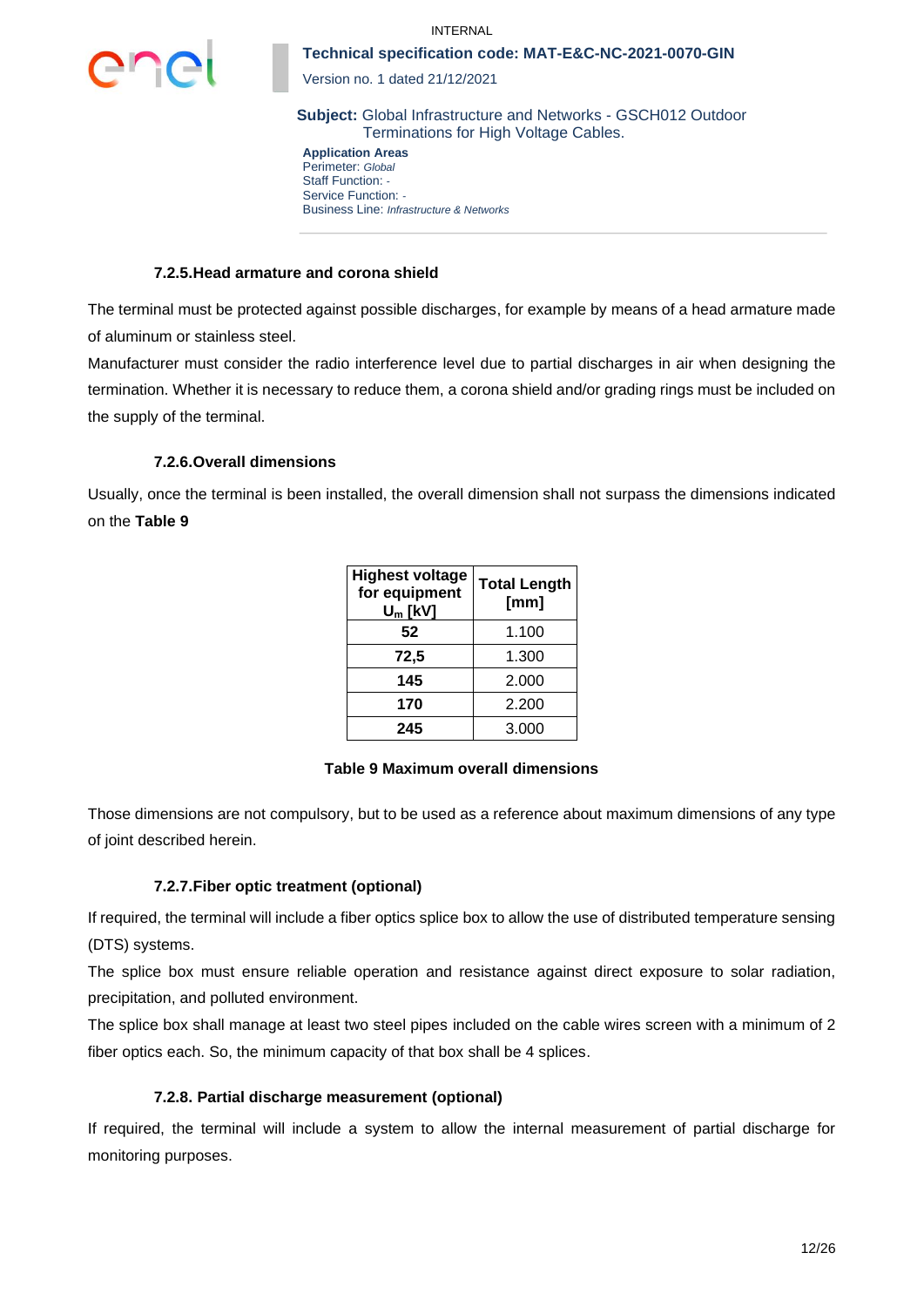



Version no. 1 dated 21/12/2021

**Subject:** Global Infrastructure and Networks - GSCH012 Outdoor Terminations for High Voltage Cables.

**Application Areas** Perimeter: *Global* Staff Function: *-* Service Function: *-* Business Line: *Infrastructure & Networks*

### **7.2.5.Head armature and corona shield**

The terminal must be protected against possible discharges, for example by means of a head armature made of aluminum or stainless steel.

Manufacturer must consider the radio interference level due to partial discharges in air when designing the termination. Whether it is necessary to reduce them, a corona shield and/or grading rings must be included on the supply of the terminal.

## **7.2.6.Overall dimensions**

Usually, once the terminal is been installed, the overall dimension shall not surpass the dimensions indicated on the **[Table 9](#page-11-0)**

| <b>Highest voltage</b><br>for equipment<br>$U_m$ [kV] | <b>Total Length</b><br>[mm] |
|-------------------------------------------------------|-----------------------------|
| 52                                                    | 1.100                       |
| 72,5                                                  | 1.300                       |
| 145                                                   | 2.000                       |
| 170                                                   | 2.200                       |
| 245                                                   | 3.000                       |

### **Table 9 Maximum overall dimensions**

<span id="page-11-0"></span>Those dimensions are not compulsory, but to be used as a reference about maximum dimensions of any type of joint described herein.

### **7.2.7.Fiber optic treatment (optional)**

If required, the terminal will include a fiber optics splice box to allow the use of distributed temperature sensing (DTS) systems.

The splice box must ensure reliable operation and resistance against direct exposure to solar radiation, precipitation, and polluted environment.

The splice box shall manage at least two steel pipes included on the cable wires screen with a minimum of 2 fiber optics each. So, the minimum capacity of that box shall be 4 splices.

## **7.2.8. Partial discharge measurement (optional)**

If required, the terminal will include a system to allow the internal measurement of partial discharge for monitoring purposes.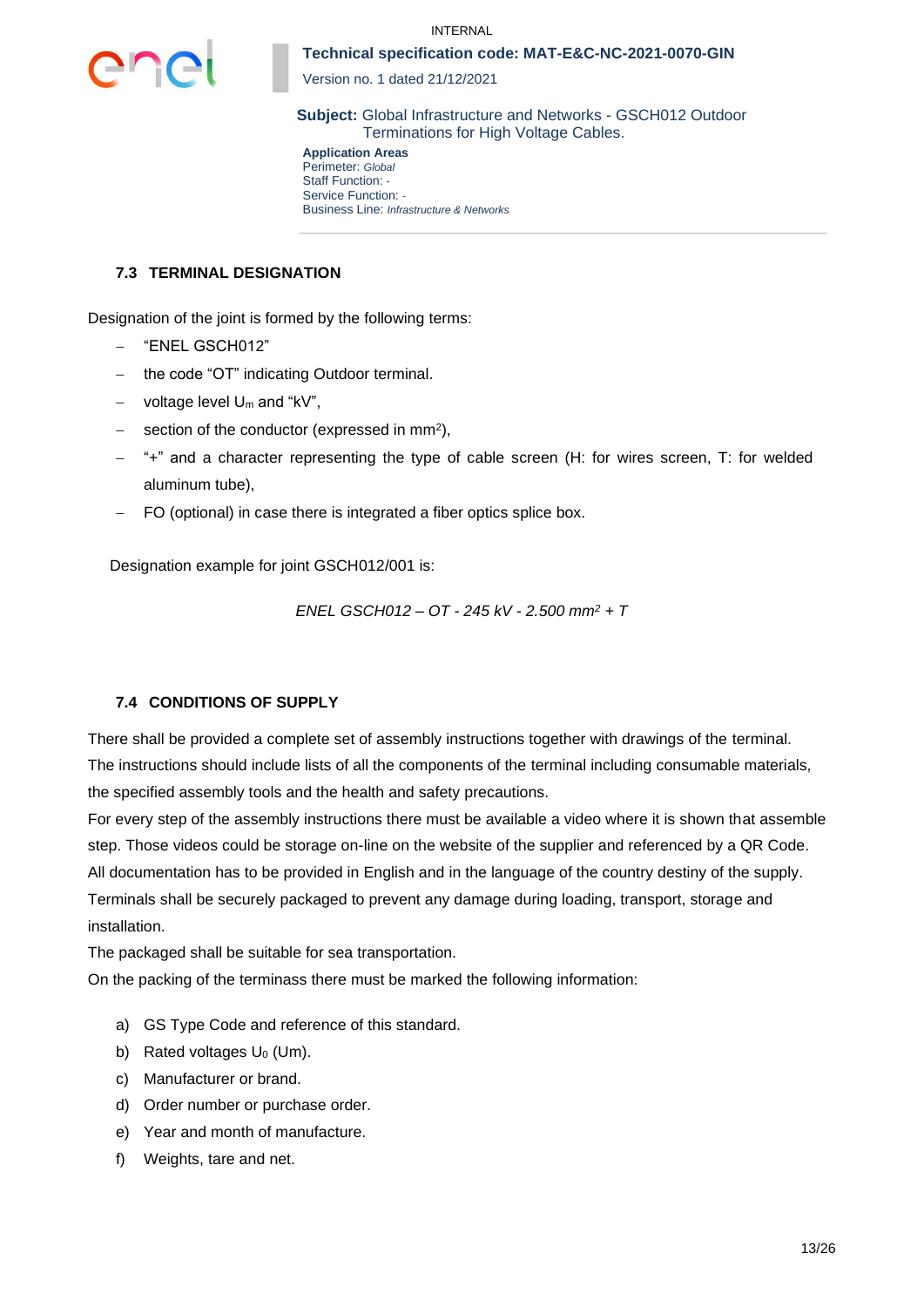

Version no. 1 dated 21/12/2021

**Subject:** Global Infrastructure and Networks - GSCH012 Outdoor Terminations for High Voltage Cables.

**Application Areas** Perimeter: *Global* Staff Function: *-* Service Function: *-* Business Line: *Infrastructure & Networks*

### **7.3 TERMINAL DESIGNATION**

Designation of the joint is formed by the following terms:

- − "ENEL GSCH012"
- the code "OT" indicating Outdoor terminal.
- − voltage level U<sup>m</sup> and "kV",
- − section of the conductor (expressed in mm<sup>2</sup>),
- − "+" and a character representing the type of cable screen (H: for wires screen, T: for welded aluminum tube),
- FO (optional) in case there is integrated a fiber optics splice box.

Designation example for joint GSCH012/001 is:

*ENEL GSCH012 – OT - 245 kV - 2.500 mm<sup>2</sup> + T*

### **7.4 CONDITIONS OF SUPPLY**

There shall be provided a complete set of assembly instructions together with drawings of the terminal. The instructions should include lists of all the components of the terminal including consumable materials, the specified assembly tools and the health and safety precautions.

For every step of the assembly instructions there must be available a video where it is shown that assemble step. Those videos could be storage on-line on the website of the supplier and referenced by a QR Code. All documentation has to be provided in English and in the language of the country destiny of the supply. Terminals shall be securely packaged to prevent any damage during loading, transport, storage and installation.

The packaged shall be suitable for sea transportation.

On the packing of the terminass there must be marked the following information:

- a) GS Type Code and reference of this standard.
- b) Rated voltages  $U_0$  (Um).
- c) Manufacturer or brand.
- d) Order number or purchase order.
- e) Year and month of manufacture.
- f) Weights, tare and net.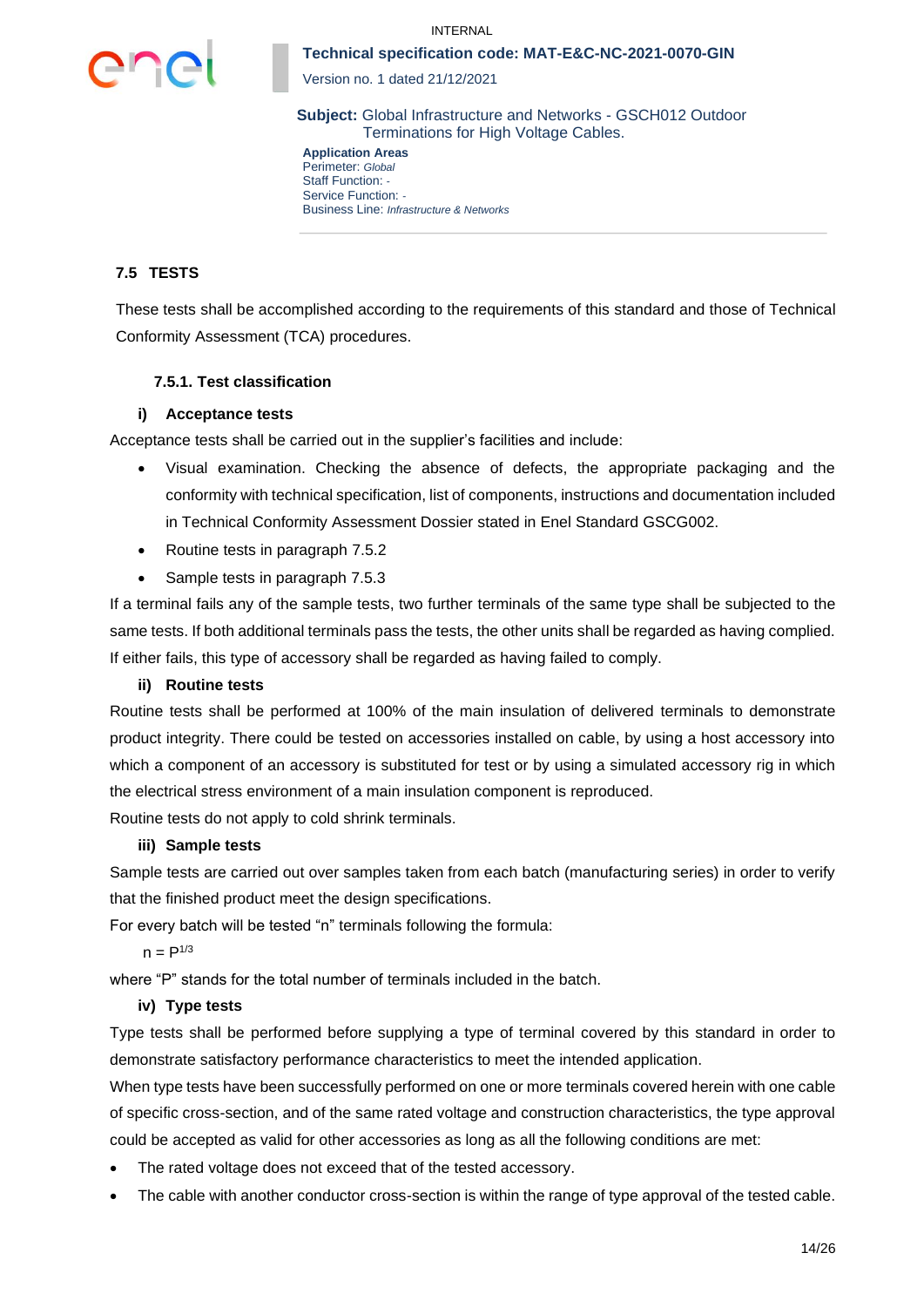



Version no. 1 dated 21/12/2021

**Subject:** Global Infrastructure and Networks - GSCH012 Outdoor Terminations for High Voltage Cables.

**Application Areas** Perimeter: *Global* Staff Function: *-* Service Function: *-* Business Line: *Infrastructure & Networks*

## **7.5 TESTS**

These tests shall be accomplished according to the requirements of this standard and those of Technical Conformity Assessment (TCA) procedures.

## **7.5.1. Test classification**

### **i) Acceptance tests**

Acceptance tests shall be carried out in the supplier's facilities and include:

- Visual examination. Checking the absence of defects, the appropriate packaging and the conformity with technical specification, list of components, instructions and documentation included in Technical Conformity Assessment Dossier stated in Enel Standard GSCG002.
- Routine tests in paragraph [7.5.2](#page-14-0)
- Sample tests in paragraph [7.5.3](#page-15-0)

If a terminal fails any of the sample tests, two further terminals of the same type shall be subjected to the same tests. If both additional terminals pass the tests, the other units shall be regarded as having complied. If either fails, this type of accessory shall be regarded as having failed to comply.

### **ii) Routine tests**

Routine tests shall be performed at 100% of the main insulation of delivered terminals to demonstrate product integrity. There could be tested on accessories installed on cable, by using a host accessory into which a component of an accessory is substituted for test or by using a simulated accessory rig in which the electrical stress environment of a main insulation component is reproduced.

Routine tests do not apply to cold shrink terminals.

### **iii) Sample tests**

Sample tests are carried out over samples taken from each batch (manufacturing series) in order to verify that the finished product meet the design specifications.

For every batch will be tested "n" terminals following the formula:

 $n = P^{1/3}$ 

where "P" stands for the total number of terminals included in the batch.

### **iv) Type tests**

Type tests shall be performed before supplying a type of terminal covered by this standard in order to demonstrate satisfactory performance characteristics to meet the intended application.

When type tests have been successfully performed on one or more terminals covered herein with one cable of specific cross-section, and of the same rated voltage and construction characteristics, the type approval could be accepted as valid for other accessories as long as all the following conditions are met:

- The rated voltage does not exceed that of the tested accessory.
- The cable with another conductor cross-section is within the range of type approval of the tested cable.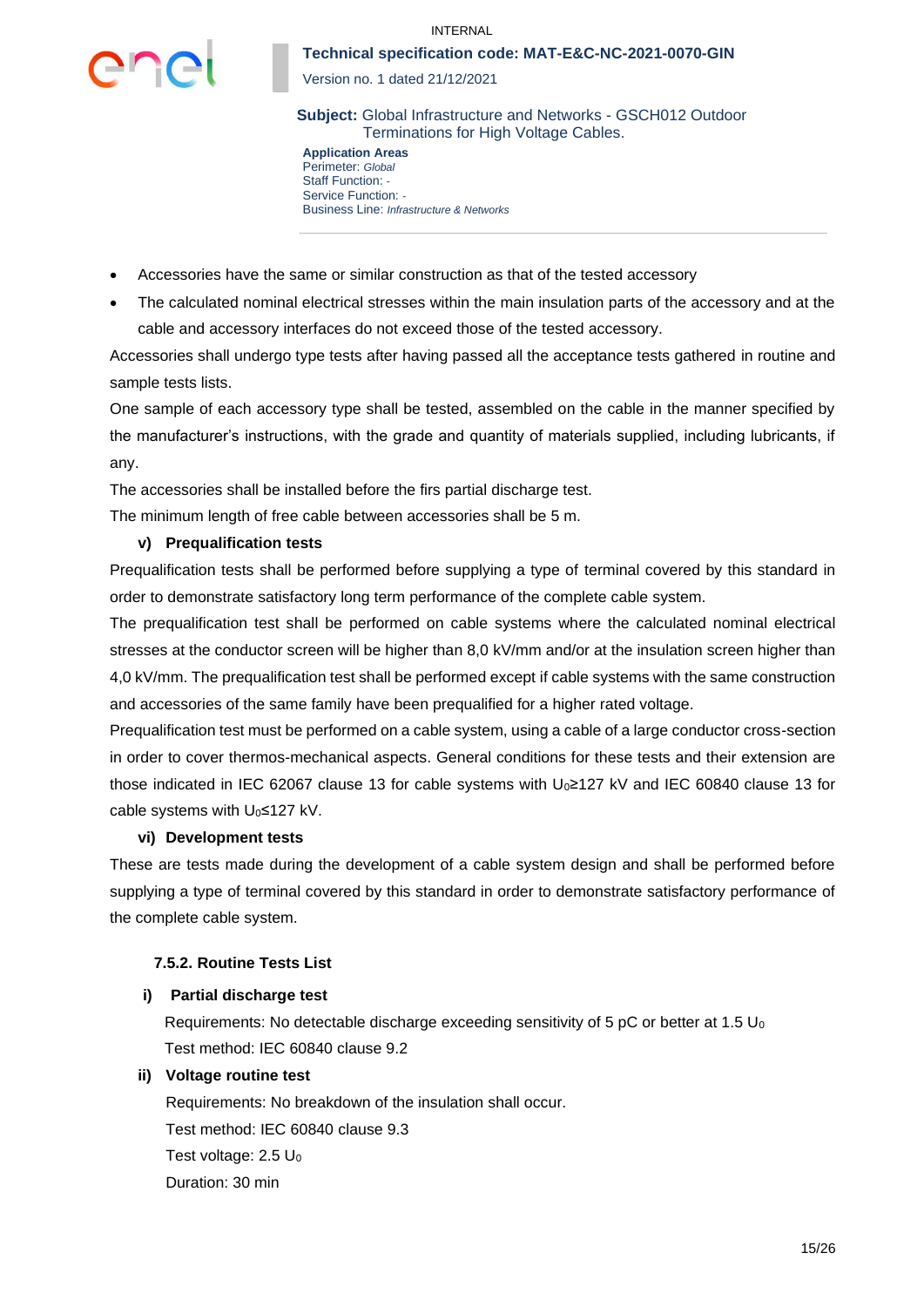

Version no. 1 dated 21/12/2021

**Subject:** Global Infrastructure and Networks - GSCH012 Outdoor Terminations for High Voltage Cables.

**Application Areas** Perimeter: *Global* Staff Function: *-* Service Function: *-* Business Line: *Infrastructure & Networks*

- Accessories have the same or similar construction as that of the tested accessory
- The calculated nominal electrical stresses within the main insulation parts of the accessory and at the cable and accessory interfaces do not exceed those of the tested accessory.

Accessories shall undergo type tests after having passed all the acceptance tests gathered in routine and sample tests lists.

One sample of each accessory type shall be tested, assembled on the cable in the manner specified by the manufacturer's instructions, with the grade and quantity of materials supplied, including lubricants, if any.

The accessories shall be installed before the firs partial discharge test.

The minimum length of free cable between accessories shall be 5 m.

### **v) Prequalification tests**

Prequalification tests shall be performed before supplying a type of terminal covered by this standard in order to demonstrate satisfactory long term performance of the complete cable system.

The prequalification test shall be performed on cable systems where the calculated nominal electrical stresses at the conductor screen will be higher than 8,0 kV/mm and/or at the insulation screen higher than 4,0 kV/mm. The prequalification test shall be performed except if cable systems with the same construction and accessories of the same family have been prequalified for a higher rated voltage.

Prequalification test must be performed on a cable system, using a cable of a large conductor cross-section in order to cover thermos-mechanical aspects. General conditions for these tests and their extension are those indicated in IEC 62067 clause 13 for cable systems with U0≥127 kV and IEC 60840 clause 13 for cable systems with U<sub>0</sub>≤127 kV.

#### **vi) Development tests**

These are tests made during the development of a cable system design and shall be performed before supplying a type of terminal covered by this standard in order to demonstrate satisfactory performance of the complete cable system.

### <span id="page-14-0"></span>**7.5.2. Routine Tests List**

### **i) Partial discharge test**

Requirements: No detectable discharge exceeding sensitivity of 5 pC or better at 1.5  $U_0$ Test method: IEC 60840 clause 9.2

#### **ii) Voltage routine test**

Requirements: No breakdown of the insulation shall occur. Test method: IEC 60840 clause 9.3 Test voltage:  $2.5 U_0$ Duration: 30 min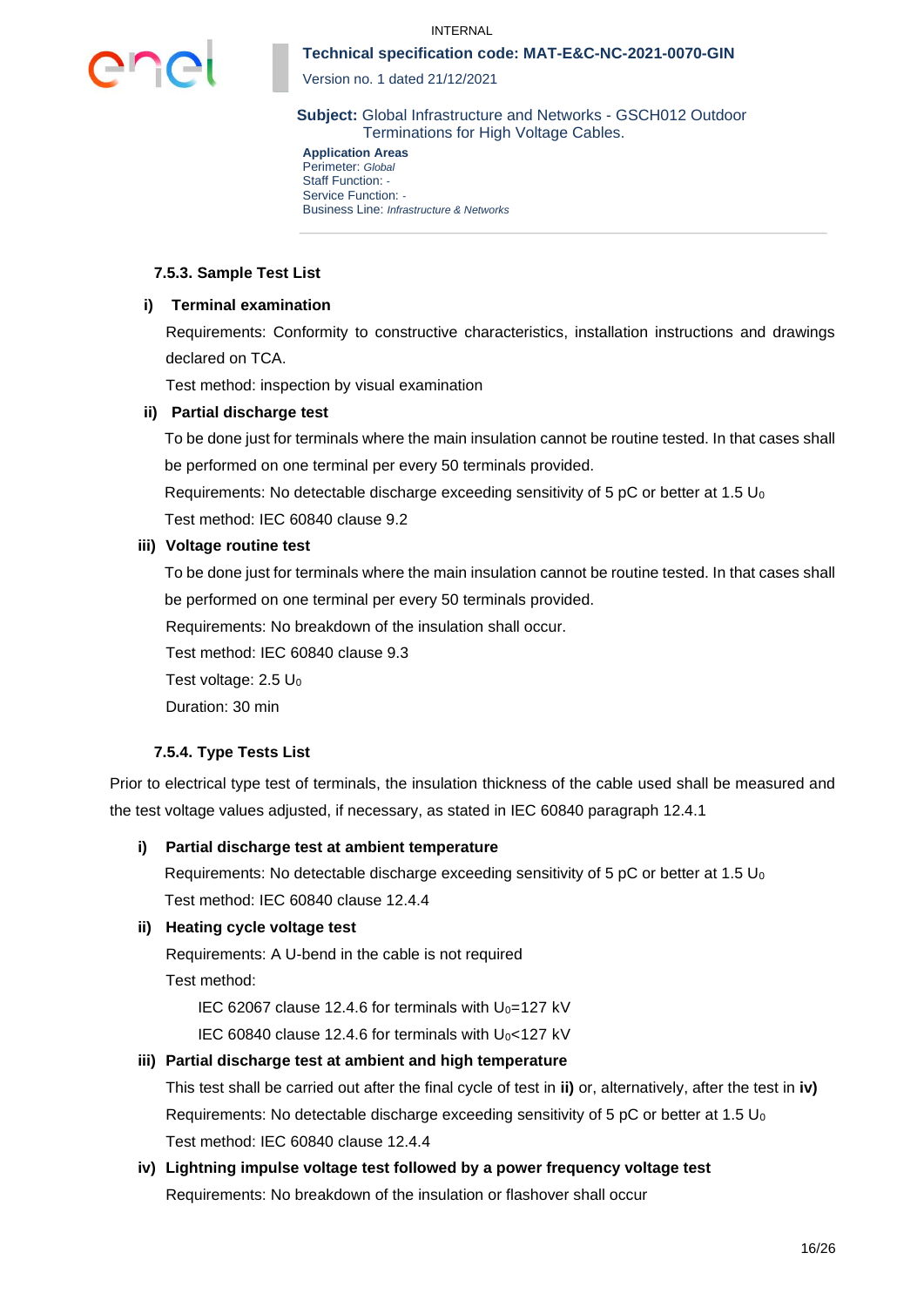

Version no. 1 dated 21/12/2021

**Subject:** Global Infrastructure and Networks - GSCH012 Outdoor Terminations for High Voltage Cables.

**Application Areas** Perimeter: *Global* Staff Function: *-* Service Function: *-* Business Line: *Infrastructure & Networks*

### <span id="page-15-0"></span>**7.5.3. Sample Test List**

### **i) Terminal examination**

Requirements: Conformity to constructive characteristics, installation instructions and drawings declared on TCA.

Test method: inspection by visual examination

### **ii) Partial discharge test**

To be done just for terminals where the main insulation cannot be routine tested. In that cases shall be performed on one terminal per every 50 terminals provided.

Requirements: No detectable discharge exceeding sensitivity of 5 pC or better at 1.5  $U_0$ Test method: IEC 60840 clause 9.2

#### **iii) Voltage routine test**

To be done just for terminals where the main insulation cannot be routine tested. In that cases shall be performed on one terminal per every 50 terminals provided.

Requirements: No breakdown of the insulation shall occur.

Test method: IEC 60840 clause 9.3

Test voltage:  $2.5 \text{ U}_0$ 

Duration: 30 min

### **7.5.4. Type Tests List**

Prior to electrical type test of terminals, the insulation thickness of the cable used shall be measured and the test voltage values adjusted, if necessary, as stated in IEC 60840 paragraph 12.4.1

### **i) Partial discharge test at ambient temperature**

Requirements: No detectable discharge exceeding sensitivity of 5 pC or better at 1.5  $U_0$ Test method: IEC 60840 clause 12.4.4

### **ii) Heating cycle voltage test**

Requirements: A U-bend in the cable is not required

Test method:

IEC 62067 clause 12.4.6 for terminals with  $U_0=127$  kV

IEC 60840 clause 12.4.6 for terminals with  $U_0$ <127 kV

### **iii) Partial discharge test at ambient and high temperature**

This test shall be carried out after the final cycle of test in **ii)** or, alternatively, after the test in **iv)** Requirements: No detectable discharge exceeding sensitivity of 5 pC or better at 1.5  $U_0$ Test method: IEC 60840 clause 12.4.4

## **iv) Lightning impulse voltage test followed by a power frequency voltage test**  Requirements: No breakdown of the insulation or flashover shall occur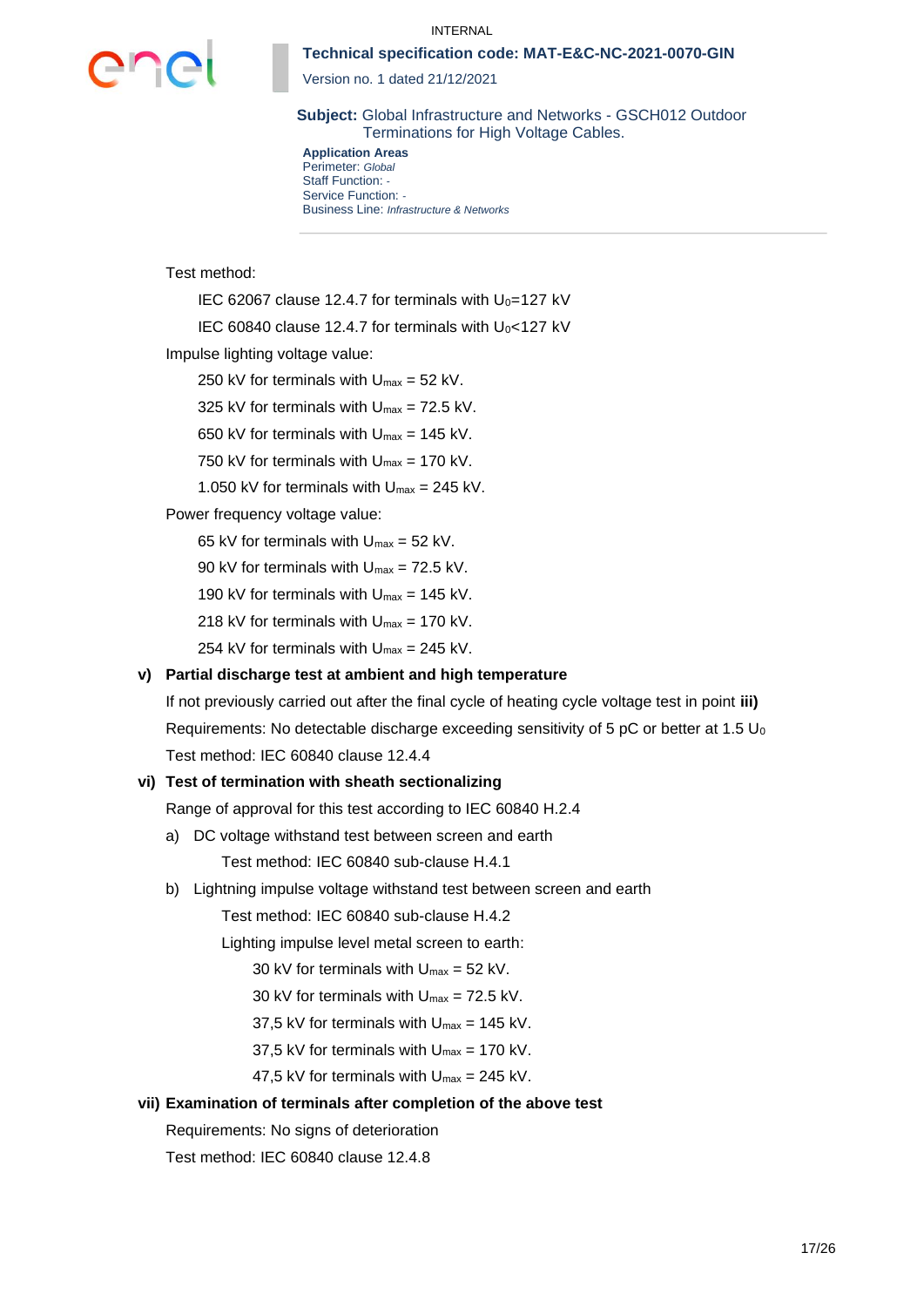#### INTERNAL



**Technical specification code: MAT-E&C-NC-2021-0070-GIN**

Version no. 1 dated 21/12/2021

**Subject:** Global Infrastructure and Networks - GSCH012 Outdoor Terminations for High Voltage Cables.

**Application Areas** Perimeter: *Global* Staff Function: *-* Service Function: *-* Business Line: *Infrastructure & Networks*

Test method:

IEC 62067 clause 12.4.7 for terminals with  $U_0$ =127 kV

IEC 60840 clause 12.4.7 for terminals with  $U_0$  < 127 kV

Impulse lighting voltage value:

250 kV for terminals with  $U_{\text{max}} = 52$  kV.

325 kV for terminals with  $U_{\text{max}} = 72.5$  kV.

650 kV for terminals with  $U_{\text{max}} = 145$  kV.

750 kV for terminals with  $U_{\text{max}} = 170$  kV.

1.050 kV for terminals with  $U_{\text{max}} = 245$  kV.

Power frequency voltage value:

65 kV for terminals with  $U_{\text{max}} = 52$  kV.

90 kV for terminals with  $U_{\text{max}} = 72.5$  kV.

190 kV for terminals with  $U_{\text{max}} = 145$  kV.

218 kV for terminals with  $U_{\text{max}} = 170$  kV.

254 kV for terminals with  $U_{\text{max}} = 245$  kV.

### **v) Partial discharge test at ambient and high temperature**

If not previously carried out after the final cycle of heating cycle voltage test in point **iii)** Requirements: No detectable discharge exceeding sensitivity of 5 pC or better at 1.5  $U_0$ Test method: IEC 60840 clause 12.4.4

#### **vi) Test of termination with sheath sectionalizing**

Range of approval for this test according to IEC 60840 H.2.4

- a) DC voltage withstand test between screen and earth Test method: IEC 60840 sub-clause H.4.1
- b) Lightning impulse voltage withstand test between screen and earth

Test method: IEC 60840 sub-clause H.4.2

Lighting impulse level metal screen to earth:

30 kV for terminals with  $U_{\text{max}} = 52$  kV.

- 30 kV for terminals with  $U_{\text{max}} = 72.5$  kV.
- 37,5 kV for terminals with  $U_{\text{max}} = 145$  kV.
- 37.5 kV for terminals with  $U_{\text{max}} = 170$  kV.
- 47.5 kV for terminals with  $U_{\text{max}} = 245$  kV.

### **vii) Examination of terminals after completion of the above test**

Requirements: No signs of deterioration

Test method: IEC 60840 clause 12.4.8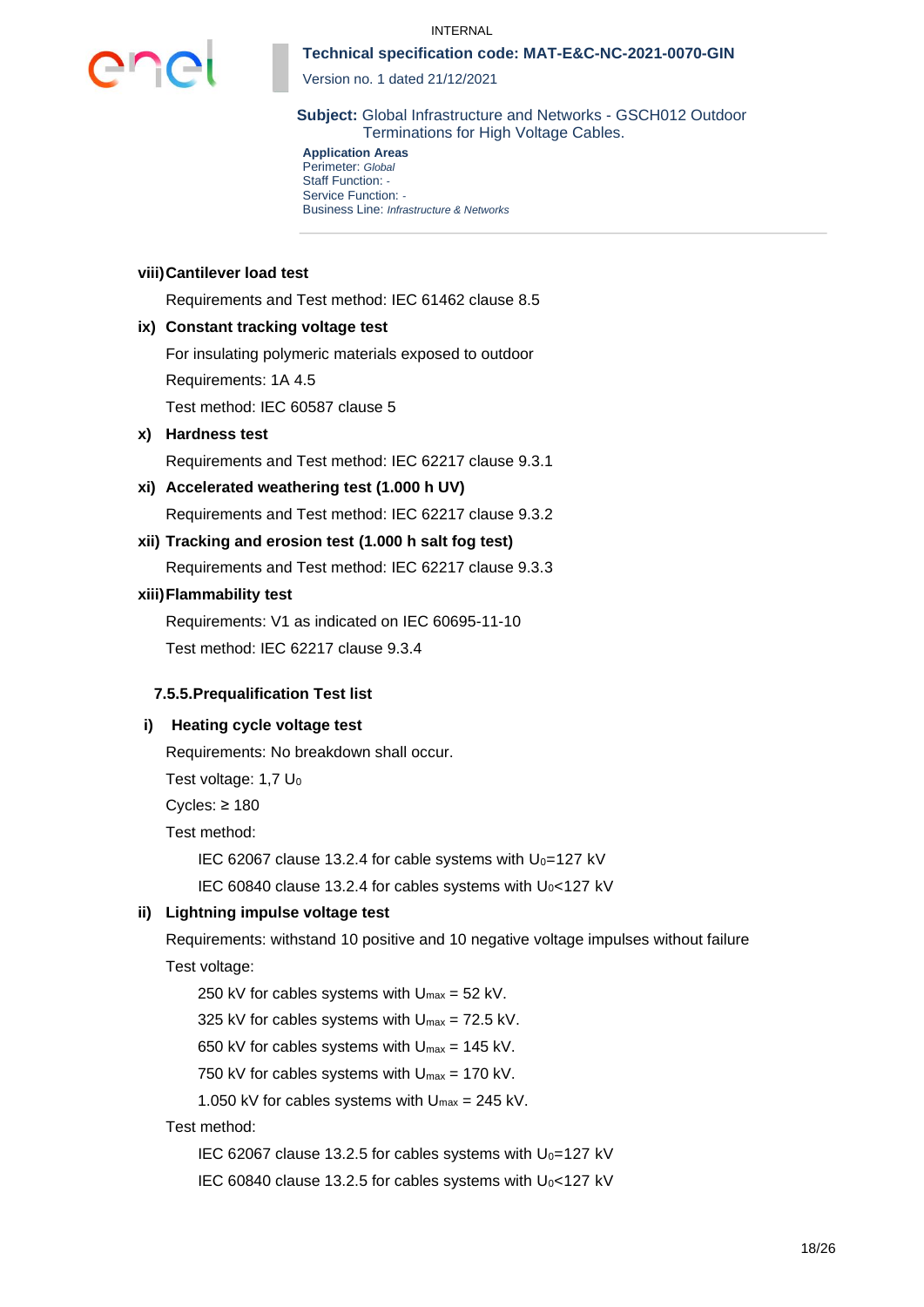

Version no. 1 dated 21/12/2021

**Subject:** Global Infrastructure and Networks - GSCH012 Outdoor Terminations for High Voltage Cables.

**Application Areas** Perimeter: *Global* Staff Function: *-* Service Function: *-* Business Line: *Infrastructure & Networks*

#### **viii)Cantilever load test**

Requirements and Test method: IEC 61462 clause 8.5

#### **ix) Constant tracking voltage test**

For insulating polymeric materials exposed to outdoor Requirements: 1A 4.5

Test method: IEC 60587 clause 5

## **x) Hardness test**

Requirements and Test method: IEC 62217 clause 9.3.1

## **xi) Accelerated weathering test (1.000 h UV)** Requirements and Test method: IEC 62217 clause 9.3.2

**xii) Tracking and erosion test (1.000 h salt fog test)** Requirements and Test method: IEC 62217 clause 9.3.3

### **xiii)Flammability test**

Requirements: V1 as indicated on IEC 60695-11-10 Test method: IEC 62217 clause 9.3.4

#### **7.5.5.Prequalification Test list**

#### **i) Heating cycle voltage test**

Requirements: No breakdown shall occur.

Test voltage:  $1.7 U_0$ 

Cycles: ≥ 180

Test method:

IEC 62067 clause 13.2.4 for cable systems with  $U_0=127$  kV

IEC 60840 clause 13.2.4 for cables systems with  $U_0$ <127 kV

#### **ii) Lightning impulse voltage test**

Requirements: withstand 10 positive and 10 negative voltage impulses without failure Test voltage:

250 kV for cables systems with  $U_{\text{max}} = 52$  kV.

325 kV for cables systems with  $U_{\text{max}} = 72.5$  kV.

650 kV for cables systems with  $U_{\text{max}} = 145$  kV.

750 kV for cables systems with  $U_{\text{max}} = 170$  kV.

1.050 kV for cables systems with  $U_{\text{max}} = 245$  kV.

Test method:

IEC 62067 clause 13.2.5 for cables systems with  $U_0=127$  kV

IEC 60840 clause 13.2.5 for cables systems with  $U_0$ <127 kV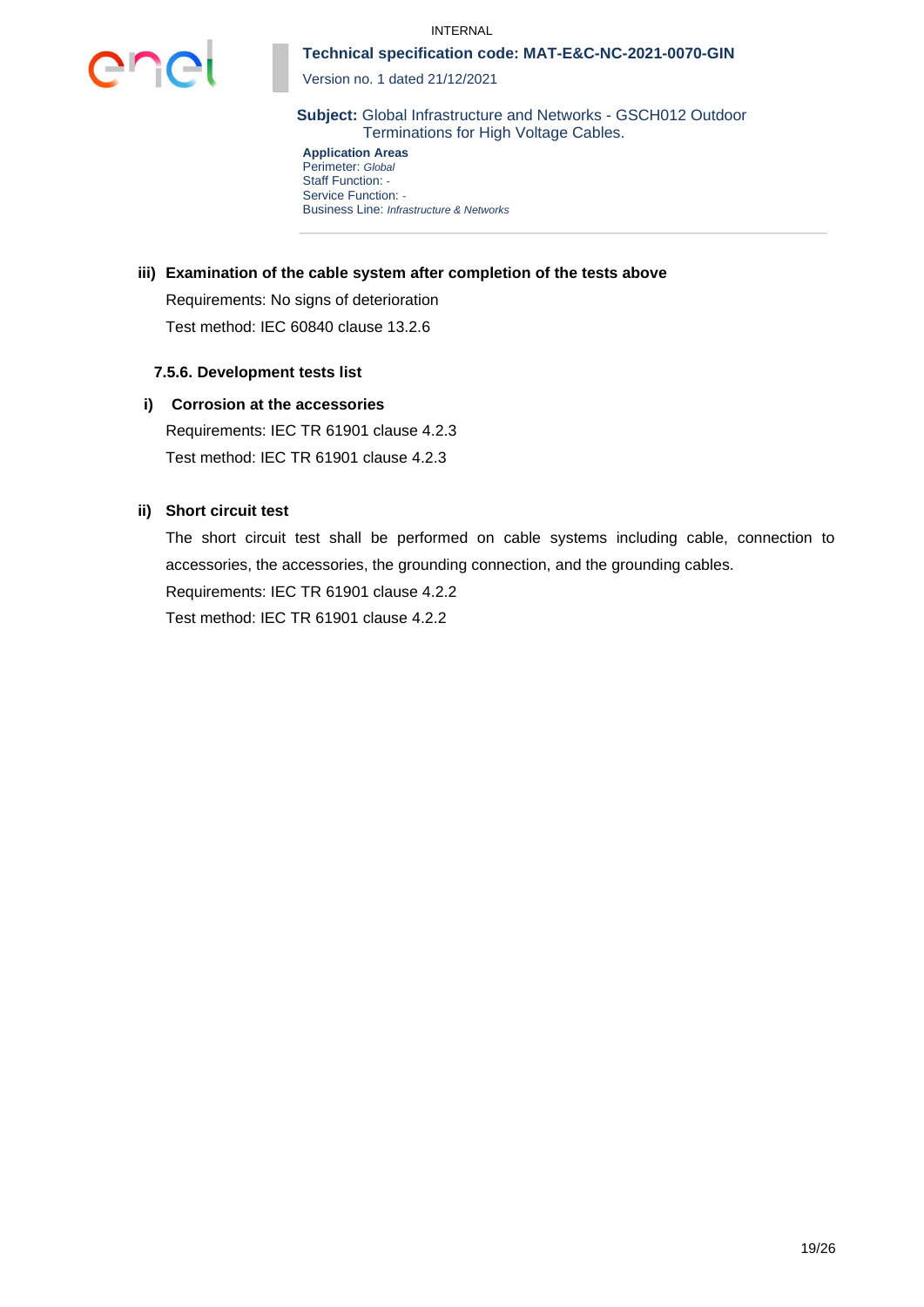

Version no. 1 dated 21/12/2021

**Subject:** Global Infrastructure and Networks - GSCH012 Outdoor Terminations for High Voltage Cables.

**Application Areas** Perimeter: *Global* Staff Function: *-* Service Function: *-* Business Line: *Infrastructure & Networks*

### **iii) Examination of the cable system after completion of the tests above**

Requirements: No signs of deterioration Test method: IEC 60840 clause 13.2.6

### **7.5.6. Development tests list**

### **i) Corrosion at the accessories**

Requirements: IEC TR 61901 clause 4.2.3 Test method: IEC TR 61901 clause 4.2.3

### **ii) Short circuit test**

The short circuit test shall be performed on cable systems including cable, connection to accessories, the accessories, the grounding connection, and the grounding cables.

Requirements: IEC TR 61901 clause 4.2.2

Test method: IEC TR 61901 clause 4.2.2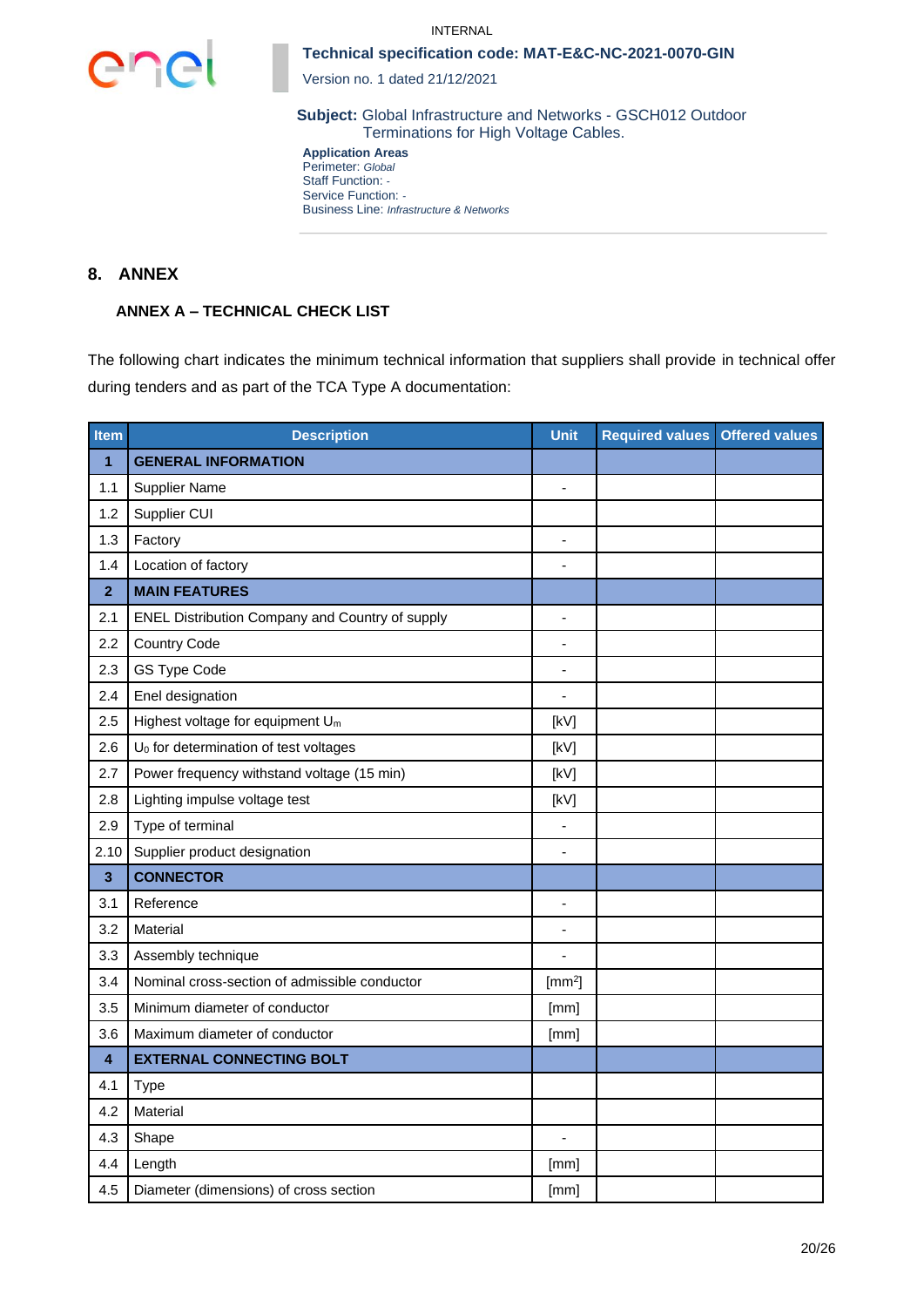



Version no. 1 dated 21/12/2021

**Subject:** Global Infrastructure and Networks - GSCH012 Outdoor Terminations for High Voltage Cables.

**Application Areas** Perimeter: *Global* Staff Function: *-* Service Function: *-* Business Line: *Infrastructure & Networks*

## **8. ANNEX**

## **ANNEX A – TECHNICAL CHECK LIST**

The following chart indicates the minimum technical information that suppliers shall provide in technical offer during tenders and as part of the TCA Type A documentation:

| Item                    | <b>Description</b>                                | <b>Unit</b>              | <b>Required values</b> | <b>Offered values</b> |
|-------------------------|---------------------------------------------------|--------------------------|------------------------|-----------------------|
| 1                       | <b>GENERAL INFORMATION</b>                        |                          |                        |                       |
| 1.1                     | <b>Supplier Name</b>                              | $\overline{\phantom{a}}$ |                        |                       |
| 1.2                     | Supplier CUI                                      |                          |                        |                       |
| 1.3                     | Factory                                           | $\overline{a}$           |                        |                       |
| 1.4                     | Location of factory                               |                          |                        |                       |
| $\overline{2}$          | <b>MAIN FEATURES</b>                              |                          |                        |                       |
| 2.1                     | ENEL Distribution Company and Country of supply   | $\overline{a}$           |                        |                       |
| 2.2                     | <b>Country Code</b>                               | ٠                        |                        |                       |
| 2.3                     | GS Type Code                                      | $\blacksquare$           |                        |                       |
| 2.4                     | Enel designation                                  | $\blacksquare$           |                        |                       |
| 2.5                     | Highest voltage for equipment U <sub>m</sub>      | [kV]                     |                        |                       |
| 2.6                     | U <sub>0</sub> for determination of test voltages | [kV]                     |                        |                       |
| 2.7                     | Power frequency withstand voltage (15 min)        | [kV]                     |                        |                       |
| 2.8                     | Lighting impulse voltage test                     | [kV]                     |                        |                       |
| 2.9                     | Type of terminal                                  | $\blacksquare$           |                        |                       |
| 2.10                    | Supplier product designation                      |                          |                        |                       |
| $\overline{\mathbf{3}}$ | <b>CONNECTOR</b>                                  |                          |                        |                       |
| 3.1                     | Reference                                         | $\blacksquare$           |                        |                       |
| 3.2                     | Material                                          | $\blacksquare$           |                        |                       |
| 3.3                     | Assembly technique                                |                          |                        |                       |
| 3.4                     | Nominal cross-section of admissible conductor     | [mm <sup>2</sup> ]       |                        |                       |
| 3.5                     | Minimum diameter of conductor                     | [mm]                     |                        |                       |
| 3.6                     | Maximum diameter of conductor                     | [mm]                     |                        |                       |
| $\overline{\mathbf{4}}$ | <b>EXTERNAL CONNECTING BOLT</b>                   |                          |                        |                       |
| 4.1                     | Type                                              |                          |                        |                       |
| 4.2                     | Material                                          |                          |                        |                       |
| 4.3                     | Shape                                             |                          |                        |                       |
| 4.4                     | Length                                            | [mm]                     |                        |                       |
| 4.5                     | Diameter (dimensions) of cross section            | [mm]                     |                        |                       |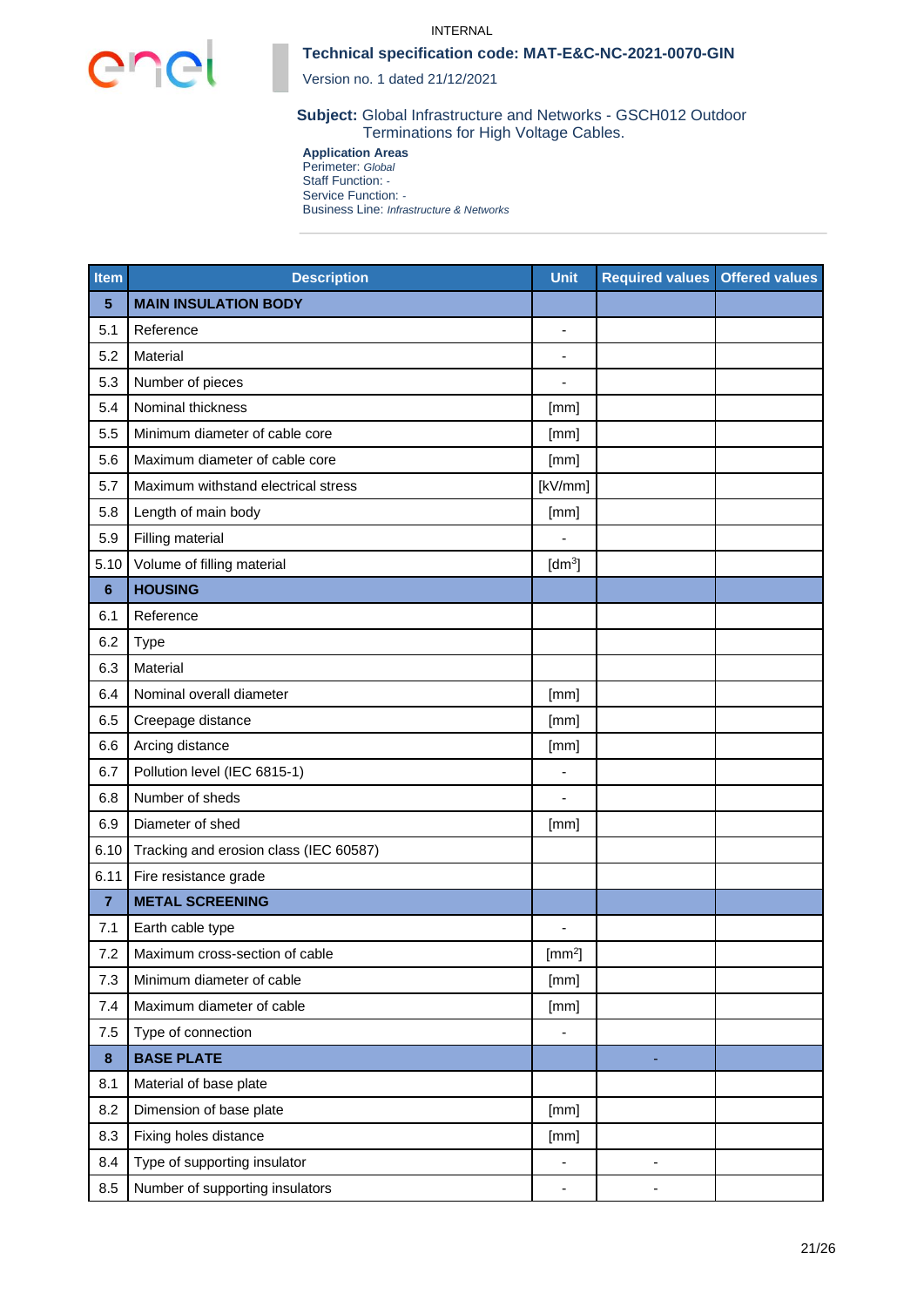



Version no. 1 dated 21/12/2021

**Subject:** Global Infrastructure and Networks - GSCH012 Outdoor Terminations for High Voltage Cables.

**Application Areas** Perimeter: *Global* Staff Function: *-* Service Function: *-* Business Line: *Infrastructure & Networks*

| <b>Item</b>    | <b>Description</b>                     | <b>Unit</b>                  | <b>Required values Offered values</b> |  |
|----------------|----------------------------------------|------------------------------|---------------------------------------|--|
| 5              | <b>MAIN INSULATION BODY</b>            |                              |                                       |  |
| 5.1            | Reference                              | $\blacksquare$               |                                       |  |
| 5.2            | Material                               | $\overline{\phantom{a}}$     |                                       |  |
| 5.3            | Number of pieces                       |                              |                                       |  |
| 5.4            | Nominal thickness                      | [mm]                         |                                       |  |
| 5.5            | Minimum diameter of cable core         | [mm]                         |                                       |  |
| 5.6            | Maximum diameter of cable core         | [mm]                         |                                       |  |
| 5.7            | Maximum withstand electrical stress    | [kV/mm]                      |                                       |  |
| 5.8            | Length of main body                    | [mm]                         |                                       |  |
| 5.9            | Filling material                       |                              |                                       |  |
| 5.10           | Volume of filling material             | [dm <sup>3</sup> ]           |                                       |  |
| $6\phantom{1}$ | <b>HOUSING</b>                         |                              |                                       |  |
| 6.1            | Reference                              |                              |                                       |  |
| 6.2            | <b>Type</b>                            |                              |                                       |  |
| 6.3            | Material                               |                              |                                       |  |
| 6.4            | Nominal overall diameter               | [mm]                         |                                       |  |
| 6.5            | Creepage distance                      | [mm]                         |                                       |  |
| 6.6            | Arcing distance                        | [mm]                         |                                       |  |
| 6.7            | Pollution level (IEC 6815-1)           | $\blacksquare$               |                                       |  |
| 6.8            | Number of sheds                        |                              |                                       |  |
| 6.9            | Diameter of shed                       | [mm]                         |                                       |  |
| 6.10           | Tracking and erosion class (IEC 60587) |                              |                                       |  |
| 6.11           | Fire resistance grade                  |                              |                                       |  |
| $\overline{7}$ | <b>METAL SCREENING</b>                 |                              |                                       |  |
| 7.1            | Earth cable type                       |                              |                                       |  |
| 7.2            | Maximum cross-section of cable         | $[mm^2]$                     |                                       |  |
| 7.3            | Minimum diameter of cable              | [mm]                         |                                       |  |
| 7.4            | Maximum diameter of cable              | [mm]                         |                                       |  |
| 7.5            | Type of connection                     | $\qquad \qquad \blacksquare$ |                                       |  |
| $\pmb{8}$      | <b>BASE PLATE</b>                      |                              |                                       |  |
| 8.1            | Material of base plate                 |                              |                                       |  |
| 8.2            | Dimension of base plate                | [mm]                         |                                       |  |
| 8.3            | Fixing holes distance                  | [mm]                         |                                       |  |
| 8.4            | Type of supporting insulator           | $\overline{\phantom{0}}$     |                                       |  |
| 8.5            | Number of supporting insulators        | -                            |                                       |  |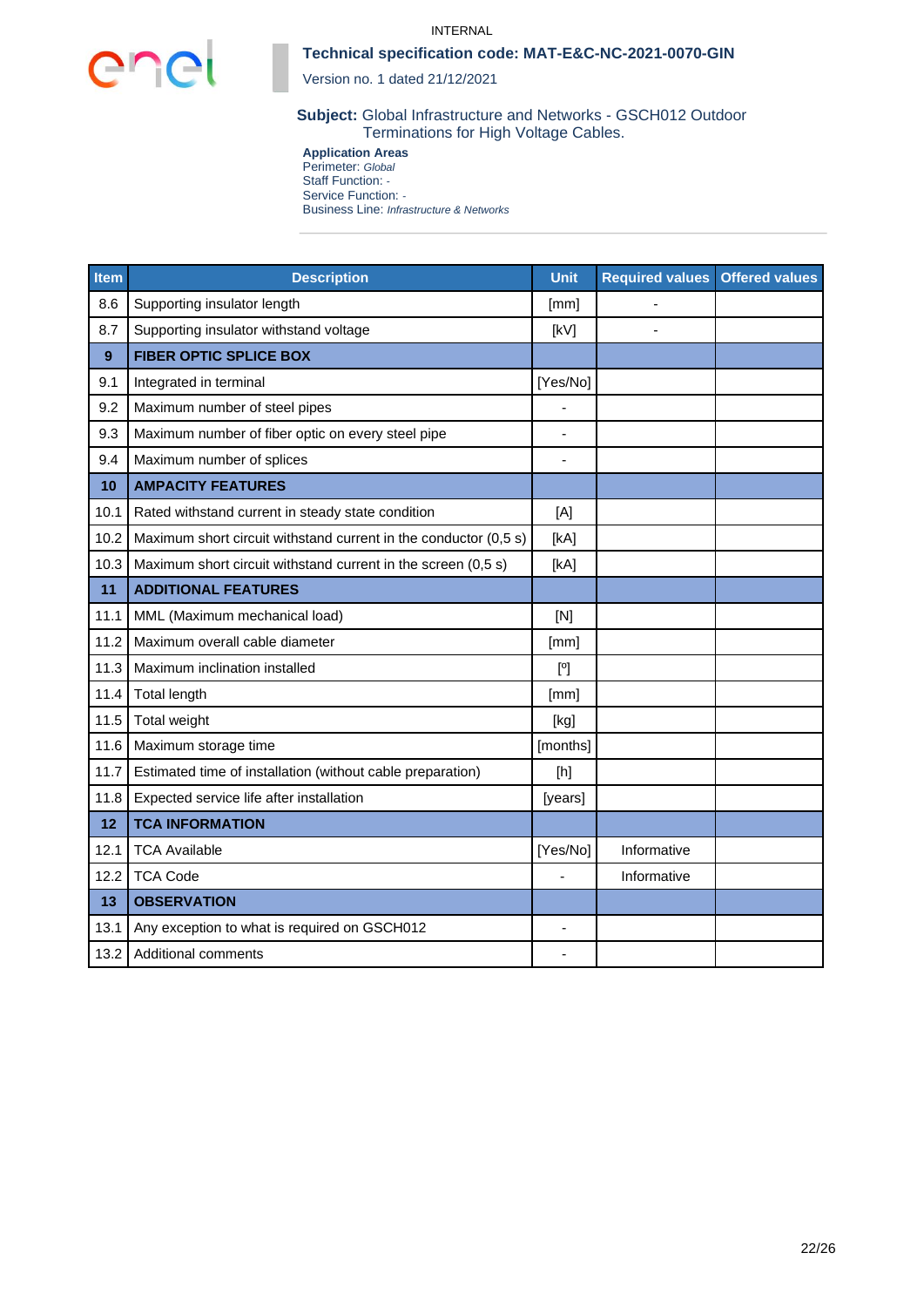

#### INTERNAL

### **Technical specification code: MAT-E&C-NC-2021-0070-GIN**

Version no. 1 dated 21/12/2021

**Subject:** Global Infrastructure and Networks - GSCH012 Outdoor Terminations for High Voltage Cables.

**Application Areas** Perimeter: *Global* Staff Function: *-* Service Function: *-* Business Line: *Infrastructure & Networks*

| <b>Item</b> | <b>Description</b>                                               | <b>Unit</b>  | <b>Required values</b> | <b>Offered values</b> |
|-------------|------------------------------------------------------------------|--------------|------------------------|-----------------------|
| 8.6         | Supporting insulator length                                      | [mm]         |                        |                       |
| 8.7         | Supporting insulator withstand voltage                           | [kV]         |                        |                       |
| 9           | <b>FIBER OPTIC SPLICE BOX</b>                                    |              |                        |                       |
| 9.1         | Integrated in terminal                                           | [Yes/No]     |                        |                       |
| 9.2         | Maximum number of steel pipes                                    |              |                        |                       |
| 9.3         | Maximum number of fiber optic on every steel pipe                | ٠            |                        |                       |
| 9.4         | Maximum number of splices                                        |              |                        |                       |
| 10          | <b>AMPACITY FEATURES</b>                                         |              |                        |                       |
| 10.1        | Rated withstand current in steady state condition                | [A]          |                        |                       |
| 10.2        | Maximum short circuit withstand current in the conductor (0,5 s) | [kA]         |                        |                       |
| 10.3        | Maximum short circuit withstand current in the screen (0,5 s)    | [kA]         |                        |                       |
| 11          | <b>ADDITIONAL FEATURES</b>                                       |              |                        |                       |
| 11.1        | MML (Maximum mechanical load)                                    | [N]          |                        |                       |
| 11.2        | Maximum overall cable diameter                                   | [mm]         |                        |                       |
| 11.3        | Maximum inclination installed                                    | $[^{\circ}]$ |                        |                       |
| 11.4        | <b>Total length</b>                                              | [mm]         |                        |                       |
| 11.5        | Total weight                                                     | [kg]         |                        |                       |
| 11.6        | Maximum storage time                                             | [months]     |                        |                       |
| 11.7        | Estimated time of installation (without cable preparation)       | [h]          |                        |                       |
| 11.8        | Expected service life after installation                         | [years]      |                        |                       |
| 12          | <b>TCA INFORMATION</b>                                           |              |                        |                       |
| 12.1        | <b>TCA Available</b>                                             | [Yes/No]     | Informative            |                       |
| 12.2        | <b>TCA Code</b>                                                  |              | Informative            |                       |
| 13          | <b>OBSERVATION</b>                                               |              |                        |                       |
| 13.1        | Any exception to what is required on GSCH012                     | ÷            |                        |                       |
| 13.2        | <b>Additional comments</b>                                       |              |                        |                       |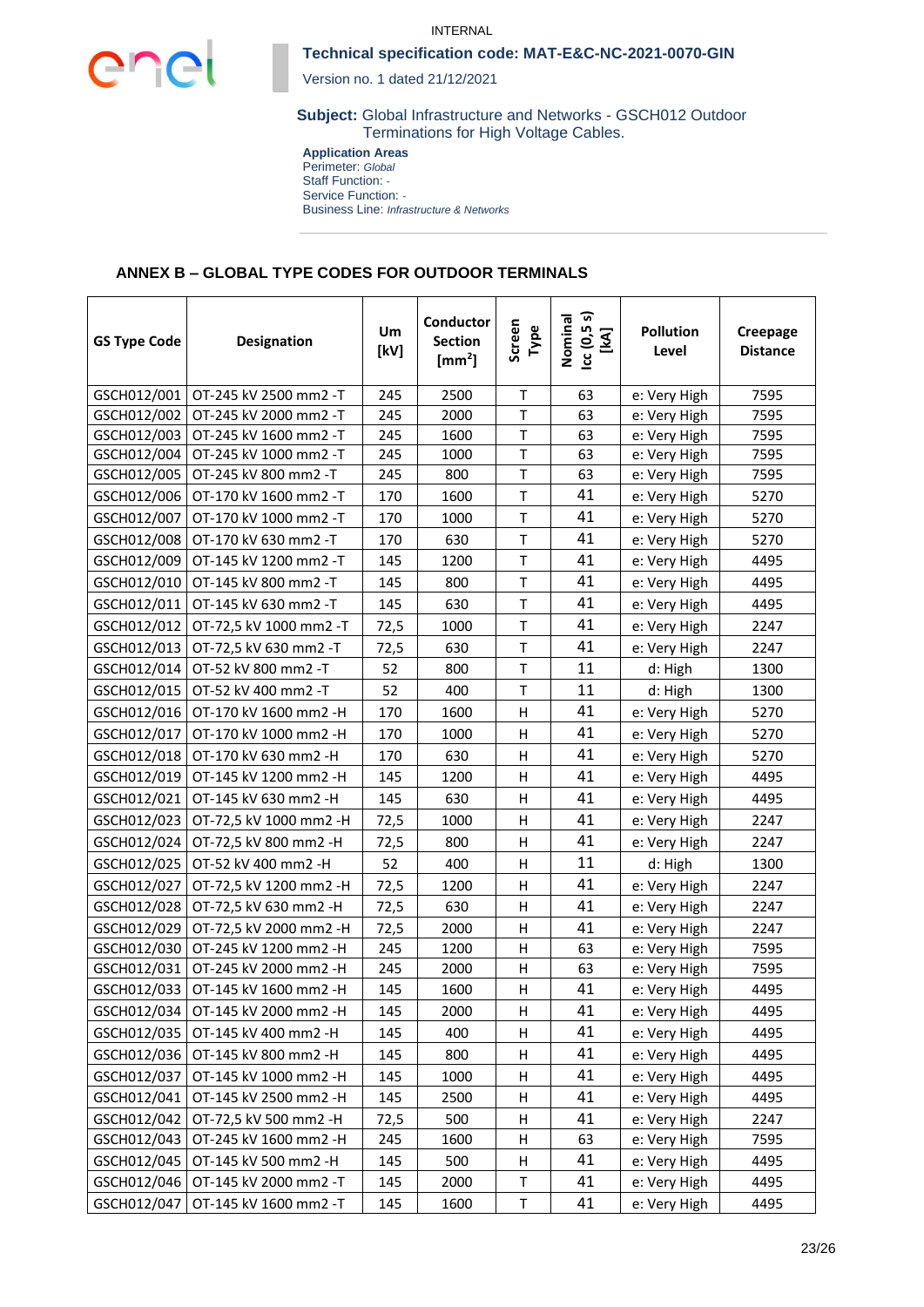



Version no. 1 dated 21/12/2021

**Subject:** Global Infrastructure and Networks - GSCH012 Outdoor Terminations for High Voltage Cables.

**Application Areas** Perimeter: *Global* Staff Function: *-* Service Function: *-* Business Line: *Infrastructure & Networks*

### **ANNEX B – GLOBAL TYPE CODES FOR OUTDOOR TERMINALS**

| <b>GS Type Code</b> | <b>Designation</b>                  | Um<br>[kV] | Conductor<br><b>Section</b><br>$\text{[mm}^2\text{]}$ | Screen<br>Type | ادد (5.9 s)<br>[kA]<br>Nominal | <b>Pollution</b><br>Level | Creepage<br><b>Distance</b> |
|---------------------|-------------------------------------|------------|-------------------------------------------------------|----------------|--------------------------------|---------------------------|-----------------------------|
| GSCH012/001         | OT-245 kV 2500 mm2 -T               | 245        | 2500                                                  | $\mathsf T$    | 63                             | e: Very High              | 7595                        |
| GSCH012/002         | OT-245 kV 2000 mm2 -T               | 245        | 2000                                                  | T              | 63                             | e: Very High              | 7595                        |
| GSCH012/003         | OT-245 kV 1600 mm2 -T               | 245        | 1600                                                  | $\mathsf T$    | 63                             | e: Very High              | 7595                        |
| GSCH012/004         | OT-245 kV 1000 mm2 -T               | 245        | 1000                                                  | $\sf T$        | 63                             | e: Very High              | 7595                        |
| GSCH012/005         | OT-245 kV 800 mm2 -T                | 245        | 800                                                   | $\mathsf T$    | 63                             | e: Very High              | 7595                        |
| GSCH012/006         | OT-170 kV 1600 mm2 -T               | 170        | 1600                                                  | T              | 41                             | e: Very High              | 5270                        |
| GSCH012/007         | OT-170 kV 1000 mm2 -T               | 170        | 1000                                                  | Τ              | 41                             | e: Very High              | 5270                        |
| GSCH012/008         | OT-170 kV 630 mm2 -T                | 170        | 630                                                   | Τ              | 41                             | e: Very High              | 5270                        |
| GSCH012/009         | OT-145 kV 1200 mm2 -T               | 145        | 1200                                                  | T              | 41                             | e: Very High              | 4495                        |
| GSCH012/010         | OT-145 kV 800 mm2 -T                | 145        | 800                                                   | T              | 41                             | e: Very High              | 4495                        |
| GSCH012/011         | OT-145 kV 630 mm2 -T                | 145        | 630                                                   | T              | 41                             | e: Very High              | 4495                        |
| GSCH012/012         | OT-72,5 kV 1000 mm2 -T              | 72,5       | 1000                                                  | Τ              | 41                             | e: Very High              | 2247                        |
| GSCH012/013         | OT-72,5 kV 630 mm2 -T               | 72,5       | 630                                                   | T              | 41                             | e: Very High              | 2247                        |
| GSCH012/014         | OT-52 kV 800 mm2 -T                 | 52         | 800                                                   | $\mathsf{T}$   | 11                             | d: High                   | 1300                        |
| GSCH012/015         | OT-52 kV 400 mm2 -T                 | 52         | 400                                                   | $\mathsf{T}$   | 11                             | d: High                   | 1300                        |
| GSCH012/016         | OT-170 kV 1600 mm2 -H               | 170        | 1600                                                  | н              | 41                             | e: Very High              | 5270                        |
| GSCH012/017         | OT-170 kV 1000 mm2 -H               | 170        | 1000                                                  | Н              | 41                             | e: Very High              | 5270                        |
| GSCH012/018         | OT-170 kV 630 mm2 -H                | 170        | 630                                                   | н              | 41                             | e: Very High              | 5270                        |
| GSCH012/019         | OT-145 kV 1200 mm2 -H               | 145        | 1200                                                  | Н              | 41                             | e: Very High              | 4495                        |
| GSCH012/021         | OT-145 kV 630 mm2 -H                | 145        | 630                                                   | н              | 41                             | e: Very High              | 4495                        |
| GSCH012/023         | OT-72,5 kV 1000 mm2 -H              | 72,5       | 1000                                                  | н              | 41                             | e: Very High              | 2247                        |
| GSCH012/024         | OT-72,5 kV 800 mm2 -H               | 72,5       | 800                                                   | Н              | 41                             | e: Very High              | 2247                        |
| GSCH012/025         | OT-52 kV 400 mm2 -H                 | 52         | 400                                                   | н              | 11                             | d: High                   | 1300                        |
| GSCH012/027         | OT-72,5 kV 1200 mm2 -H              | 72,5       | 1200                                                  | н              | 41                             | e: Very High              | 2247                        |
| GSCH012/028         | OT-72,5 kV 630 mm2 -H               | 72,5       | 630                                                   | Н              | 41                             | e: Very High              | 2247                        |
| GSCH012/029         | OT-72,5 kV 2000 mm2 -H              | 72,5       | 2000                                                  | н              | 41                             | e: Very High              | 2247                        |
| GSCH012/030         | OT-245 kV 1200 mm2 -H               | 245        | 1200                                                  | Н              | 63                             | e: Very High              | 7595                        |
| GSCH012/031         | OT-245 kV 2000 mm2 -H               | 245        | 2000                                                  | н              | 63                             | e: Very High              | 7595                        |
|                     | GSCH012/033   OT-145 kV 1600 mm2 -H | 145        | 1600                                                  | Н              | 41                             | e: Very High              | 4495                        |
| GSCH012/034         | OT-145 kV 2000 mm2 -H               | 145        | 2000                                                  | н              | 41                             | e: Very High              | 4495                        |
| GSCH012/035         | OT-145 kV 400 mm2 -H                | 145        | 400                                                   | н              | 41                             | e: Very High              | 4495                        |
| GSCH012/036         | OT-145 kV 800 mm2 -H                | 145        | 800                                                   | н              | 41                             | e: Very High              | 4495                        |
| GSCH012/037         | OT-145 kV 1000 mm2 -H               | 145        | 1000                                                  | н              | 41                             | e: Very High              | 4495                        |
| GSCH012/041         | OT-145 kV 2500 mm2 -H               | 145        | 2500                                                  | н              | 41                             | e: Very High              | 4495                        |
| GSCH012/042         | OT-72,5 kV 500 mm2 -H               | 72,5       | 500                                                   | н              | 41                             | e: Very High              | 2247                        |
| GSCH012/043         | OT-245 kV 1600 mm2 -H               | 245        | 1600                                                  | н              | 63                             | e: Very High              | 7595                        |
| GSCH012/045         | OT-145 kV 500 mm2 -H                | 145        | 500                                                   | н              | 41                             | e: Very High              | 4495                        |
| GSCH012/046         | OT-145 kV 2000 mm2 -T               | 145        | 2000                                                  | Τ              | 41                             | e: Very High              | 4495                        |
| GSCH012/047         | OT-145 kV 1600 mm2 -T               | 145        | 1600                                                  | Τ              | 41                             | e: Very High              | 4495                        |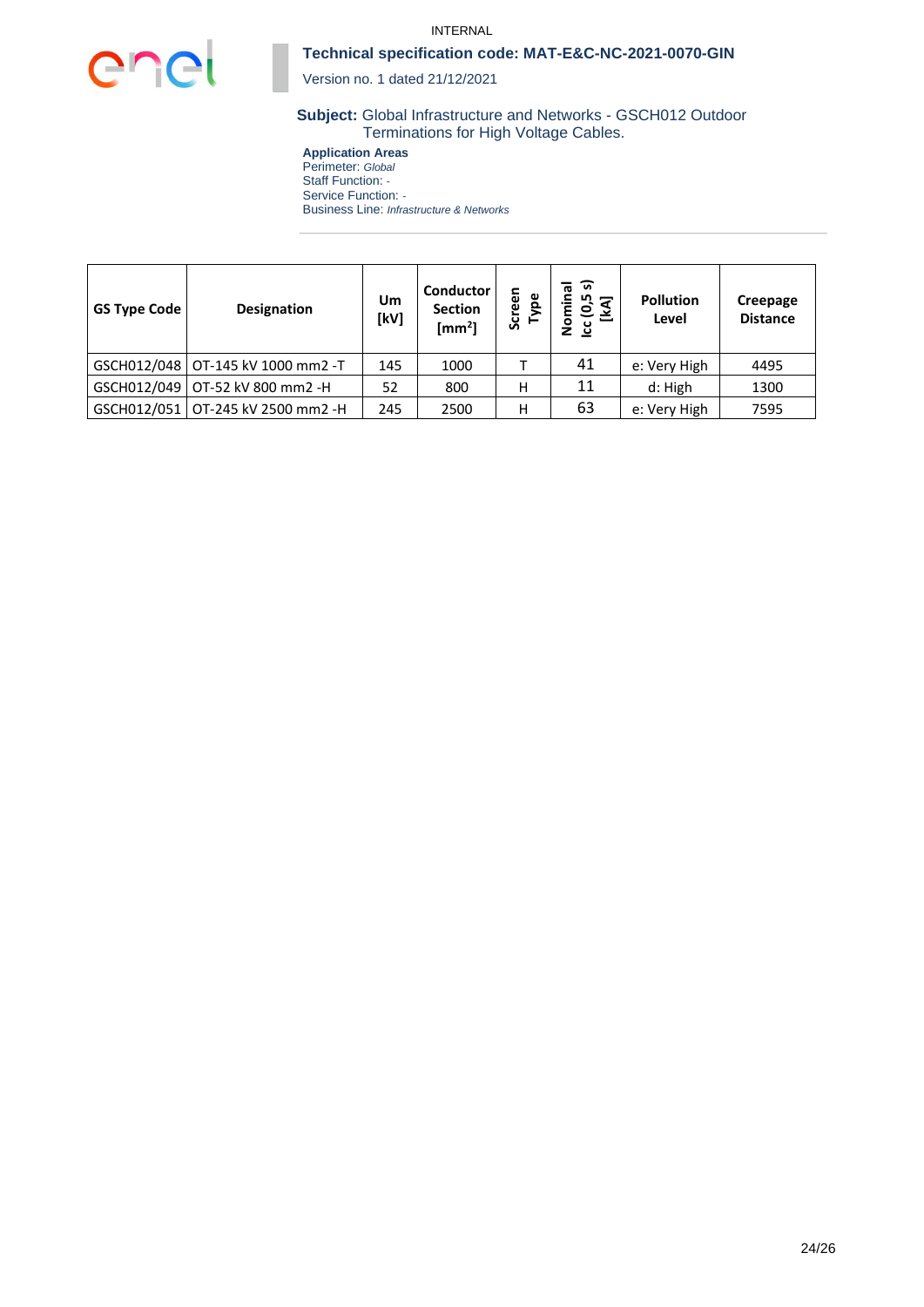

#### INTERNAL

### **Technical specification code: MAT-E&C-NC-2021-0070-GIN**

Version no. 1 dated 21/12/2021

### **Subject:** Global Infrastructure and Networks - GSCH012 Outdoor Terminations for High Voltage Cables.

**Application Areas** Perimeter: *Global* Staff Function: *-* Service Function: *-* Business Line: *Infrastructure & Networks*

| <b>GS Type Code</b> | <b>Designation</b>                  | Um<br>[kV] | Conductor<br><b>Section</b><br>[mm <sup>2</sup> ] | Type<br>Scree | ᢛ<br>ᢛ<br>Nomina<br>ادد (6,5<br>[KA] | <b>Pollution</b><br>Level | Creepage<br><b>Distance</b> |
|---------------------|-------------------------------------|------------|---------------------------------------------------|---------------|--------------------------------------|---------------------------|-----------------------------|
|                     | GSCH012/048   OT-145 kV 1000 mm2 -T | 145        | 1000                                              |               | 41                                   | e: Very High              | 4495                        |
|                     | GSCH012/049   OT-52 kV 800 mm2 -H   | 52         | 800                                               | н             | 11                                   | d: High                   | 1300                        |
|                     | GSCH012/051   OT-245 kV 2500 mm2 -H | 245        | 2500                                              | Н             | 63                                   | e: Very High              | 7595                        |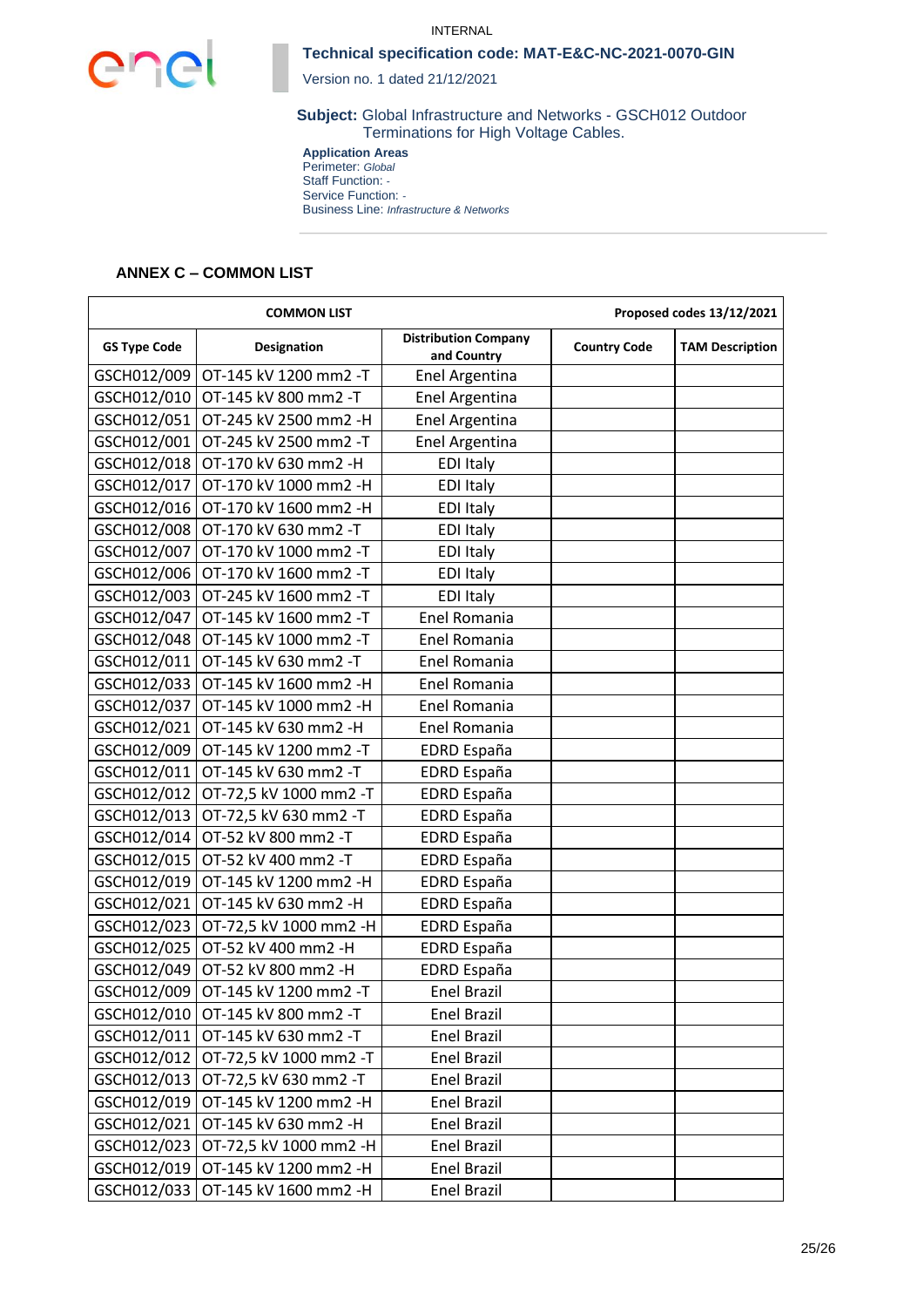



Version no. 1 dated 21/12/2021

**Subject:** Global Infrastructure and Networks - GSCH012 Outdoor Terminations for High Voltage Cables.

**Application Areas** Perimeter: *Global* Staff Function: *-* Service Function: *-* Business Line: *Infrastructure & Networks*

### **ANNEX C – COMMON LIST**

| <b>COMMON LIST</b>  |                                     |                                            |                     | Proposed codes 13/12/2021 |
|---------------------|-------------------------------------|--------------------------------------------|---------------------|---------------------------|
| <b>GS Type Code</b> | <b>Designation</b>                  | <b>Distribution Company</b><br>and Country | <b>Country Code</b> | <b>TAM Description</b>    |
| GSCH012/009         | OT-145 kV 1200 mm2 -T               | Enel Argentina                             |                     |                           |
| GSCH012/010         | OT-145 kV 800 mm2 -T                | Enel Argentina                             |                     |                           |
| GSCH012/051         | OT-245 kV 2500 mm2 -H               | Enel Argentina                             |                     |                           |
| GSCH012/001         | OT-245 kV 2500 mm2 -T               | Enel Argentina                             |                     |                           |
| GSCH012/018         | OT-170 kV 630 mm2 -H                | <b>EDI Italy</b>                           |                     |                           |
| GSCH012/017         | OT-170 kV 1000 mm2 -H               | <b>EDI Italy</b>                           |                     |                           |
| GSCH012/016         | OT-170 kV 1600 mm2 -H               | <b>EDI Italy</b>                           |                     |                           |
| GSCH012/008         | OT-170 kV 630 mm2 -T                | <b>EDI Italy</b>                           |                     |                           |
| GSCH012/007         | OT-170 kV 1000 mm2 -T               | <b>EDI Italy</b>                           |                     |                           |
| GSCH012/006         | OT-170 kV 1600 mm2 -T               | <b>EDI Italy</b>                           |                     |                           |
| GSCH012/003         | OT-245 kV 1600 mm2 -T               | <b>EDI Italy</b>                           |                     |                           |
| GSCH012/047         | OT-145 kV 1600 mm2 -T               | Enel Romania                               |                     |                           |
| GSCH012/048         | OT-145 kV 1000 mm2 -T               | Enel Romania                               |                     |                           |
| GSCH012/011         | OT-145 kV 630 mm2 -T                | <b>Enel Romania</b>                        |                     |                           |
| GSCH012/033         | OT-145 kV 1600 mm2 -H               | Enel Romania                               |                     |                           |
| GSCH012/037         | OT-145 kV 1000 mm2 -H               | Enel Romania                               |                     |                           |
| GSCH012/021         | OT-145 kV 630 mm2 -H                | Enel Romania                               |                     |                           |
| GSCH012/009         | OT-145 kV 1200 mm2 -T               | EDRD España                                |                     |                           |
| GSCH012/011         | OT-145 kV 630 mm2 -T                | <b>EDRD España</b>                         |                     |                           |
| GSCH012/012         | OT-72,5 kV 1000 mm2 -T              | <b>EDRD España</b>                         |                     |                           |
| GSCH012/013         | OT-72,5 kV 630 mm2 -T               | EDRD España                                |                     |                           |
| GSCH012/014         | OT-52 kV 800 mm2 -T                 | EDRD España                                |                     |                           |
| GSCH012/015         | OT-52 kV 400 mm2 -T                 | EDRD España                                |                     |                           |
| GSCH012/019         | OT-145 kV 1200 mm2 -H               | <b>EDRD España</b>                         |                     |                           |
| GSCH012/021         | OT-145 kV 630 mm2 -H                | <b>EDRD España</b>                         |                     |                           |
| GSCH012/023         | OT-72,5 kV 1000 mm2 -H              | <b>EDRD España</b>                         |                     |                           |
| GSCH012/025         | OT-52 kV 400 mm2 -H                 | <b>EDRD España</b>                         |                     |                           |
| GSCH012/049         | OT-52 kV 800 mm2 -H                 | <b>EDRD España</b>                         |                     |                           |
| GSCH012/009         | OT-145 kV 1200 mm2 -T               | Enel Brazil                                |                     |                           |
|                     | GSCH012/010   OT-145 kV 800 mm2 -T  | Enel Brazil                                |                     |                           |
|                     | GSCH012/011   OT-145 kV 630 mm2 -T  | <b>Enel Brazil</b>                         |                     |                           |
| GSCH012/012         | OT-72,5 kV 1000 mm2 -T              | Enel Brazil                                |                     |                           |
|                     | GSCH012/013   OT-72,5 kV 630 mm2 -T | <b>Enel Brazil</b>                         |                     |                           |
| GSCH012/019         | OT-145 kV 1200 mm2 -H               | Enel Brazil                                |                     |                           |
| GSCH012/021         | OT-145 kV 630 mm2 -H                | <b>Enel Brazil</b>                         |                     |                           |
| GSCH012/023         | OT-72,5 kV 1000 mm2 -H              | <b>Enel Brazil</b>                         |                     |                           |
| GSCH012/019         | OT-145 kV 1200 mm2 -H               | Enel Brazil                                |                     |                           |
| GSCH012/033         | OT-145 kV 1600 mm2 -H               | Enel Brazil                                |                     |                           |